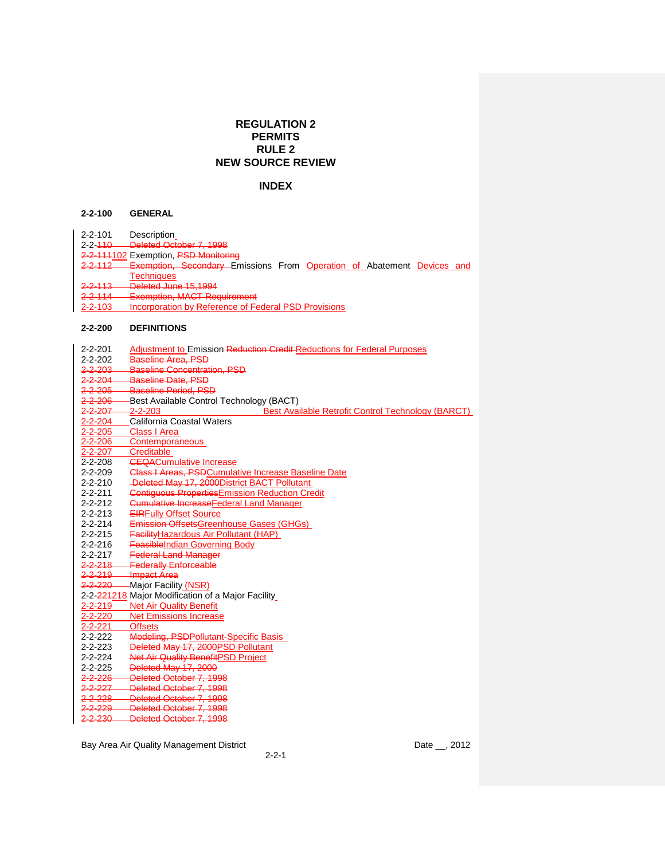# **REGULATION 2 PERMITS RULE 2 NEW SOURCE REVIEW**

# **INDEX**

## **2-2-100 GENERAL**

- 2-2-101 Description
- 2-2-110 Deleted October 7, 1998
- 2-2-111102 Exemption, PSD Monitoring
- 2-2-112 Exemption, Secondary Emissions From Operation of Abatement Devices and Techniques
- 2-2-113 Deleted June 15,1994
- 2-2-114 Exemption, MACT Requirement<br>2-2-103 Incorporation by Reference of Fe
- **Incorporation by Reference of Federal PSD Provisions**

## **2-2-200 DEFINITIONS**

| $2 - 2 - 201$      | Adjustment to Emission Reduction Credit-Reductions for Federal Purposes |
|--------------------|-------------------------------------------------------------------------|
| $2 - 2 - 202$      | Baseline Area, PSD                                                      |
| <del>2-2-203</del> | <b>Baseline Concentration, PSD</b>                                      |
| $2 - 2 - 204$      | Baseline Date, PSD                                                      |
| $2 - 2 - 205$      | <b>Baseline Period, PSD</b>                                             |
| $2 - 2 - 206$      | -Best Available Control Technology (BACT)                               |
| $2 - 2 - 207$      | $-2 - 2 - 203$<br>Best Available Retrofit Control Technology (BARCT)    |
| $2 - 2 - 204$      | California Coastal Waters                                               |
| $2 - 2 - 205$      | Class I Area                                                            |
| $2 - 2 - 206$      | Contemporaneous                                                         |
| $2 - 2 - 207$      | Creditable                                                              |
| $2 - 2 - 208$      | <b>CEQACumulative Increase</b>                                          |
| $2 - 2 - 209$      | <b>Class I Areas, PSDCumulative Increase Baseline Date</b>              |
| $2 - 2 - 210$      | -Deleted May 17, 2000 District BACT Pollutant                           |
| $2 - 2 - 211$      | <b>Contiguous Properties Emission Reduction Credit</b>                  |
| $2 - 2 - 212$      | <b>Cumulative Increase Federal Land Manager</b>                         |
| $2 - 2 - 213$      | <b>EIRFully Offset Source</b>                                           |
| $2 - 2 - 214$      | Emission OffsetsGreenhouse Gases (GHGs)                                 |
| $2 - 2 - 215$      | <b>Facility Hazardous Air Pollutant (HAP)</b>                           |
| $2 - 2 - 216$      | <b>FeasibleIndian Governing Body</b>                                    |
| $2 - 2 - 217$      | <b>Federal Land Manager</b>                                             |
| $2 - 2 - 218$      | <b>Federally Enforceable</b>                                            |
|                    | 2-2-219 Impact Area                                                     |
|                    | 2-2-220 - Major Facility (NSR)                                          |
|                    | 2-2-224218 Major Modification of a Major Facility                       |
| 2-2-219            | <b>Net Air Quality Benefit</b>                                          |
| $2 - 2 - 220$      | <b>Net Emissions Increase</b>                                           |
| $2 - 2 - 221$      | <b>Offsets</b>                                                          |
| $2 - 2 - 222$      | Modeling, PSDPollutant-Specific Basis                                   |
| $2 - 2 - 223$      | Deleted May 17, 2000 PSD Pollutant                                      |
| $2 - 2 - 224$      | Net Air Quality BenefitPSD Project                                      |
| $2 - 2 - 225$      | Deleted May 17, 2000                                                    |
| $2 - 2 - 226$      | Deleted October 7, 1998                                                 |
|                    | 2-2-227 Deleted October 7, 1998                                         |
|                    | 2-2-228 Deleted October 7, 1998                                         |
|                    | 2-2-229 Deleted October 7, 1998                                         |
|                    | 2-2-230 Deleted October 7, 1998                                         |
|                    |                                                                         |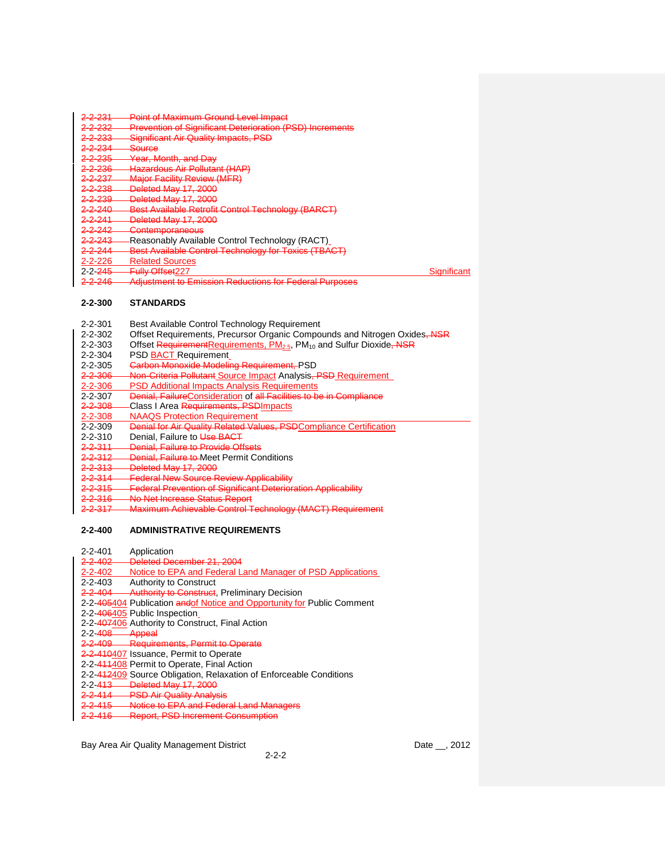| 2 <del>-2-231</del>                 | <b>Point of Maximum Ground Level Impact</b>                     |             |
|-------------------------------------|-----------------------------------------------------------------|-------------|
| <del>2-2-232</del>                  | <b>Prevention of Significant Deterioration (PSD) Increments</b> |             |
| <u> 2-2-333</u><br><del>- 200</del> | <b>Significant Air Quality Impacts, PSD</b>                     |             |
| <del>2-2-23</del> 4                 | <del>Source</del>                                               |             |
| <del>2-2-235</del>                  | <b>Year, Month, and Day</b>                                     |             |
| <del>2-2-236</del>                  | Hazardous Air Pollutant (HAP)                                   |             |
| <del>2-2-237</del>                  | <b>Major Facility Review (MFR)</b>                              |             |
| 2 <del>-2-238</del>                 | Deleted May 17, 2000                                            |             |
| 2 <del>-2-239</del>                 | Deleted May 17, 2000                                            |             |
| <del>2-2-240</del>                  | <b>Best Available Retrofit Control Technology (BARCT)</b>       |             |
| 2-2-211<br><del>*****</del>         | Deleted May 17, 2000<br><del>טטטב דו זאטוסט</del>               |             |
| <del>2-2-242</del>                  | <b>Contemporaneous</b>                                          |             |
| <del>2-2-243</del>                  | Reasonably Available Control Technology (RACT)                  |             |
| <del>2-2-2</del> 44                 | Best Available Control Technology for Toxics (TBACT)            |             |
| 2-2-226                             | <b>Related Sources</b>                                          |             |
| 2-2- <del>245</del>                 | <del>Fully Offset</del> 227                                     | Significant |
| 2.2.246<br>———                      | <b>Adjustment to Emission Reductions for Federal Purposes</b>   |             |
|                                     |                                                                 |             |

#### **2-2-300 STANDARDS**

- 2-2-302 Offset Requirements, Precursor Organic Compounds and Nitrogen Oxides, NSR<br>2-2-303 Offset Requirement Requirements, PM<sub>25</sub>, PM<sub>10</sub> and Sulfur Dioxide, NSR
- Offset RequirementRequirements, PM<sub>2.5</sub>, PM<sub>10</sub> and Sulfur Dioxide, NSR

| $2 - 2 - 304$ |  | PSD <b>BACT</b> Requirement |
|---------------|--|-----------------------------|
|---------------|--|-----------------------------|

- 2-2-305 Carbon Monoxide Modeling Requirement, PSD
- 2-2-306 Non-Criteria Pollutant Source Impact Analysis, PSD Requirement<br>2-2-306 PSD Additional Impacts Analysis Requirements
- 2-2-306 PSD Additional Impacts Analysis Requirements<br>2-2-307 Denial, FailureConsideration of all Facilities to be
- Denial, FailureConsideration of all Facilities to be in Compliance
- 2-2-308 Class I Area Requirements, PSD Impacts<br>2-2-308 NAAQS Protection Requirement
- **NAAQS Protection Requirement**
- 2-2-309 Denial for Air Quality Related Values, PSDCompliance Certification
- 2-2-310 Denial, Failure to Use BACT<br>2-2-311 Denial, Failure to Provide Off
- **Denial, Failure to Provide Offsets**
- 2-2-312 Denial, Failure to Meet Permit Conditions<br>2-2-313 Deleted May 17, 2000
- 2-2-313 Deleted May 17, 2000<br>2-2-314 Federal New Source R
- 2-2-314 Federal New Source Review Applicability<br>2-2-315 Federal Prevention of Significant Deterior
- 2-2-315 Federal Prevention of Significant Deterioration Applicability<br>2-2-316 No Net Increase Status Report
- No Net Increase Status Report
- 2-2-317 Maximum Achievable Control Technology (MACT) Requirement

#### **2-2-400 ADMINISTRATIVE REQUIREMENTS**

2-2-401 Application<br>2-2-402 Deleted Dee Deleted December 21, 2004 2-2-402 Notice to EPA and Federal Land Manager of PSD Applications<br>2-2-403 Authority to Construct Authority to Construct 2-2-404 Authority to Construct, Preliminary Decision 2-2-405404 Publication andof Notice and Opportunity for Public Comment 2-2-406405 Public Inspection 2-2-407406 Authority to Construct, Final Action 2-2-408 Appeal 2-2-409 Requirements, Permit to Operate 2-2-410407 Issuance, Permit to Operate 2-2-411408 Permit to Operate, Final Action 2-2-412409 Source Obligation, Relaxation of Enforceable Conditions 2-2-413 Deleted May 17, 2000 2-2-414 Bolotown My 11, 2002<br>2-2-414 PSD Air Quality Analysis<br>2-2-415 Notice to EPA and Feder 2-2-415 Notice to EPA and Federal Land Managers<br>2-2-416 Report, PSD Increment Consumption **Report, PSD Increment Consumption**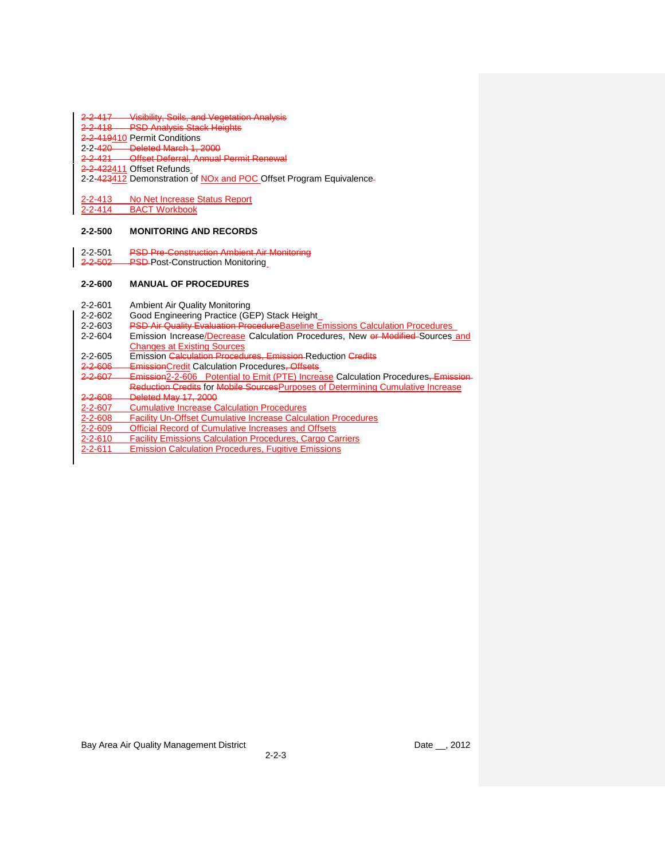# 2-2-417 Visibility, Soils, and Vegetation Analysis<br>2-2-418 PSD Analysis Stack Heights

- **PSD Analysis Stack Heights**
- 2-2-419410 Permit Conditions
- 2-2-420 Deleted March 1, 2000
- 2-2-421 Offset Deferral, Annual Permit Renewal
- 2-2-422411 Offset Refunds
- 2-2-423412 Demonstration of NOx and POC Offset Program Equivalence-
- 2-2-413 No Net Increase Status Report
- 2-2-414 BACT Workbook

#### **2-2-500 MONITORING AND RECORDS**

- 2-2-501 PSD Pre-Construction Ambient Air Monitoring
- 2-2-502 PSD-Post-Construction Monitoring

#### **2-2-600 MANUAL OF PROCEDURES**

- 2-2-601 Ambient Air Quality Monitoring<br>2-2-602 Good Engineering Practice (GB
- Good Engineering Practice (GEP) Stack Height\_
- 2-2-603 PSD Air Quality Evaluation ProcedureBaseline Emissions Calculation Procedures<br>2-2-604 Emission Increase/Decrease Calculation Procedures, New or Modified-Sources
- Emission Increase/Decrease Calculation Procedures, New or Modified Sources and Changes at Existing Sources
- 2-2-605 Emission Calculation Procedures, Emission Reduction Credits<br>2-2-606 Emission Credit Calculation Procedures, Offsets
- EmissionCredit Calculation Procedures, Offsets
- 2-2-607 Emission 2-2-606 Potential to Emit (PTE) Increase Calculation Procedures, Emission Reduction Credits for Mobile Sources Purposes of Determining Cumulative Increase
- 2-2-608 Deleted May 17, 2000
- 2-2-607 Cumulative Increase Calculation Procedures<br>2-2-608 Facility Un-Offset Cumulative Increase Calcu
- Facility Un-Offset Cumulative Increase Calculation Procedures
- 2-2-609 Official Record of Cumulative Increases and Offsets
- 2-2-610 Facility Emissions Calculation Procedures, Cargo Carriers
- 2-2-611 Emission Calculation Procedures, Fugitive Emissions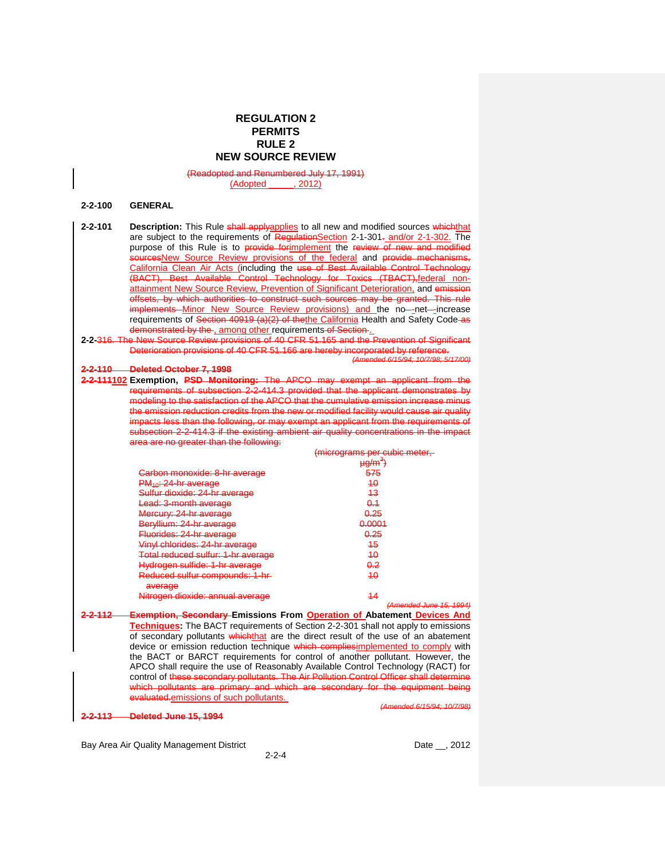# **REGULATION 2 PERMITS RULE 2 NEW SOURCE REVIEW**

and Renumbered July 17, 1991)<br>\dopted . 2012)

(Adopted

#### **2-2-100 GENERAL**

| $2 - 2 - 101$ | <b>Description:</b> This Rule <b>shall applyapplies</b> to all new and modified sources whichthat |
|---------------|---------------------------------------------------------------------------------------------------|
|               | are subject to the requirements of Regulation Section 2-1-301- and/or 2-1-302. The                |
|               | purpose of this Rule is to provide for implement the review of new and modified                   |
|               | sourcesNew Source Review provisions of the federal and provide mechanisms,                        |
|               | California Clean Air Acts (including the use of Best Available Control Technology                 |
|               | -Available Control Technology for Toxics (TBACT), federal non-                                    |
|               | attainment New Source Review, Prevention of Significant Deterioration, and emission               |
|               | offsets, by which authorities to construct such sources may be granted. This rule                 |
|               | implements Minor New Source Review provisions) and the no-net--increase                           |
|               | requirements of Section 40919 (a)(2) of the the California Health and Safety Code-as              |
|               | demonstrated by the , among other requirements of Section.                                        |
|               |                                                                                                   |

**2-2-**316. The New Source Review provisions of 40 CFR 51.165 and the Prevention of Significant Deterioration provisions of 40 CFR 51.166 are hereby incorporated by reference.

## **2-2-110 Deleted October 7, 1998**

**2-2-111102 Exemption, PSD Monitoring:** The APCO may exempt an applicant from the requirements of subsection 2-2-414.3 provided that the applicant demonstrates by modeling to the satisfaction of the APCO that the cumulative emission increase minus the emission reduction credits from the new or modified facility would cause air quality pacts less than the following, or may exempt an applicant from the requirements of subsection 2-2-414.3 if the existing ambient air quality concentrations in the impact recence.<br>a are no greater than the following:

|                                                                                         | micrograme par cubic matar<br><u>imaradianna bar again marail</u> |
|-----------------------------------------------------------------------------------------|-------------------------------------------------------------------|
|                                                                                         | $Hd$ $(mq)$<br><del>pym</del>                                     |
| <u> Parhon monovida: 8-hr average</u><br><del>υαιυνιι πινικνιασ. ο πι ανοιαγο</del>     | 575                                                               |
| $PM_{40}$ : 24-hr average                                                               | 40                                                                |
| <u> Sulfur diovido: 24 br avorago</u><br><u>Uunur urunuu. En in uvurugu</u>             | 43                                                                |
| <del>Lead: 3-month average</del>                                                        | <del>0.1</del>                                                    |
| Marcunu: 24-hr avaraga<br>moroary. <del>La marenago</del>                               | <del>0.25</del>                                                   |
| Beryllium: 24-hr average                                                                | ൧൧൧൮<br><del>u.uuu 1</del>                                        |
| <u> Fluaridae: 24 hr avaraga</u><br><del>i luolluco. z'i ili uvolugo</del>              | 0.25                                                              |
| <u> Vinul chloridae: 24-hr avaraga</u><br><del>viriyi omonuco. 24111 avorayo</del>      | 15<br>᠇ᢦ                                                          |
| Lotal raducad eultur: 1<br><u>_hr_avaraga</u><br><u>am raddood adirdii i in dearddo</u> | 10<br>+                                                           |
| Hydrogen sultide: 1-hr sversge<br><del>riyuruyon sumuc. 11m avolayo</del>               | റ റ<br>$\overline{\mathbf{v}}$                                    |
| <del>Reduced sulfur compounds: 1-hr</del>                                               | 10<br>᠇ᢦ                                                          |
| <b>QVALONA</b><br><del>dvorayo</del>                                                    |                                                                   |
| Nitrogen diovide: annual average<br><del>niilogon uloxiuo. amiual avolago</del>         | 17<br>--                                                          |
|                                                                                         | $(A$ mandad lung 15 100 $A$                                       |

**2-2-112 Exemption, Secondary Emissions From Operation of Abatement Devices And Techniques:** The BACT requirements of Section 2-2-301 shall not apply to emissions of secondary pollutants whichthat are the direct result of the use of an abatement device or emission reduction technique which complies implemented to comply with the BACT or BARCT requirements for control of another pollutant. However, the APCO shall require the use of Reasonably Available Control Technology (RACT) for control of these secondary pollutants. The Air Pollution Control Officer shall determine which pollutants are primary and which are secondary for the equipment being evaluated.emissions of such pollutants. *(Amended 6/15/94; 10/7/98)*

**2-2-113 Deleted June 15, 1994**

Bay Area Air Quality Management District **Date 2012** Date \_\_, 2012

*(Amended 6/15/94; 10/7/98; 5/17/00)*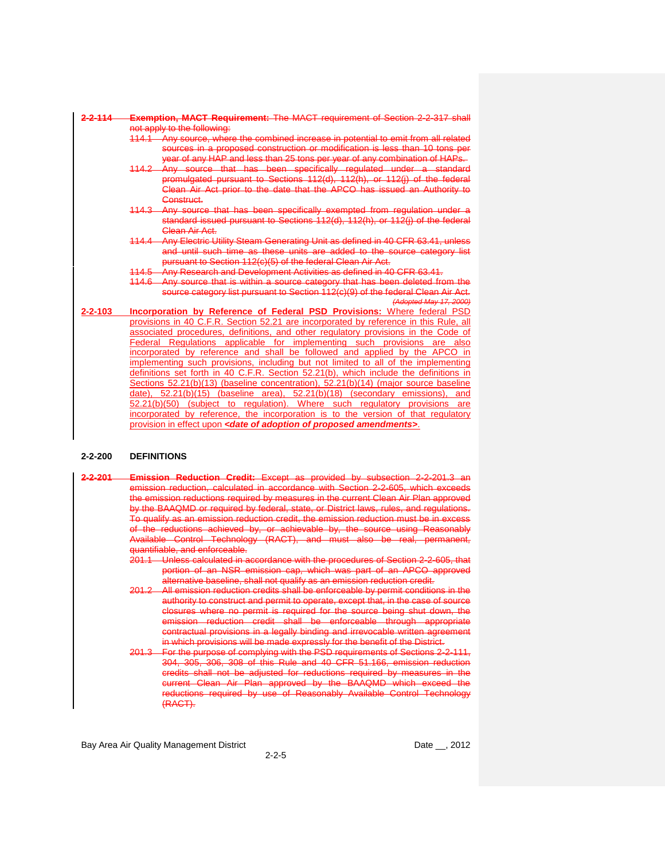| 2-114         | <b>MACT Requirement:</b> The MACT requirement of Section 2-2-317 shall<br>Exemption.                                                                  |
|---------------|-------------------------------------------------------------------------------------------------------------------------------------------------------|
|               | not apply to the following:                                                                                                                           |
|               | 114.1 Any source, where the combined increase in potential to emit from all related                                                                   |
|               | sources in a proposed construction or modification is less than 10 tons<br>year of any HAP and less than 25 tons per year of any combination of HAPs. |
|               | been specifically regulated under a standard<br>$114.2 -$<br><del>that</del><br>Any source<br><del>_has</del>                                         |
|               | promulgated pursuant to Sections 112(d), 112(h), or 112(j) of the federal                                                                             |
|               | Clean Air Act prior to the date that the APCO has issued an Authority to                                                                              |
|               | <del>Construct.</del>                                                                                                                                 |
|               | Any source that has been specifically exempted from regulation under a<br><del>114.3 -</del>                                                          |
|               | standard issued pursuant to Sections 112(d), 112(h), or 112(j) of the federal                                                                         |
|               | Clean Air Act.                                                                                                                                        |
|               | Any Electric Utility Steam Generating Unit as defined in 40 CFR 63.41, unless<br>114.4                                                                |
|               | and until such time as these units are<br>added<br>source category list<br>the.                                                                       |
|               | pursuant to Section 112(c)(5) of the federal Clean Air Act.                                                                                           |
|               | 114.5 Any Research and Development Activities as defined in 40 CFR 63.41.                                                                             |
|               | Any source that is within a source category that has been deleted from the                                                                            |
|               | source category list pursuant to Section 112(c)(9) of the federal Clean Air Act.                                                                      |
|               | (Adopted May 17, 2000)                                                                                                                                |
| $2 - 2 - 103$ | <b>Incorporation by Reference of Federal PSD Provisions:</b> Where federal PSD                                                                        |
|               | provisions in 40 C.F.R. Section 52.21 are incorporated by reference in this Rule, all                                                                 |
|               | associated procedures, definitions, and other regulatory provisions in the Code of                                                                    |
|               | Regulations applicable<br>such provisions<br>implementing<br>Federal<br>for<br>are also                                                               |
|               | incorporated by reference and shall be followed and applied by the APCO in                                                                            |
|               | implementing such provisions, including but not limited to all of the implementing                                                                    |
|               | definitions set forth in 40 C.F.R. Section 52.21(b), which include the definitions in                                                                 |
|               | Sections 52.21(b)(13) (baseline concentration), 52.21(b)(14) (maior source baseline                                                                   |
|               | 52.21(b)(18)<br>52.21(b)(15)<br>(baseline area).<br>(secondary emissions),<br>date).<br>and                                                           |
|               | Where<br>52.21(b)(50)<br>regulation).<br>such regulatory provisions<br>(subject)<br>to<br>are                                                         |
|               | incorporated by reference, the incorporation is to the version of that regulatory                                                                     |
|               | provision in effect upon <b><date adoption="" amendments="" of="" proposed=""></date></b> .                                                           |

## **2-2-200 DEFINITIONS**

- **2-2-201 Emission Reduction Credit:** Except as provided by subsection 2-2-201.3 an emission reduction, calculated in accordance with Section 2-2-605, which exceeds the emission reductions required by measures in the current Clean Air Plan approved by the BAAQMD or required by federal, state, or District laws, rules, and regulations. To qualify as an emission reduction credit, the emission reduction must be in excess of the reductions achieved by, or achievable by, the source using Reasonably Available Control Technology (RACT), and must also be real, antifiable, and enforceable.  $\overline{\phantom{a}}$ 
	- 201.1 Unless calculated in accordance with the procedures of Section 2-2-605, that portion of an NSR emission cap, which was part of an APCO approved alternative baseline, shall not qualify as an emission reduction credit.
	- 201.2 All emission reduction credits shall be enforceable by permit conditions in the authority to construct and permit to operate, except that, in the case of source closures where no permit is required for the source being shut down, the emission reduction credit shall be enforceable through appropriate contractual provisions in a legally binding and irrevocable written agreement in which provisions will be made expressly for the benefit of the District.
	- 201.3 For the purpose of complying with the PSD requirements of Sections 2-2-111, 304, 305, 306, 308 of this Rule and 40 CFR 51.166, emission reduction credits shall not be adjusted for reductions required by measures in the current Clean Air Plan approved by the BAAQMD which exceed the reductions required by use of Reasonably Available Control Technology (RACT).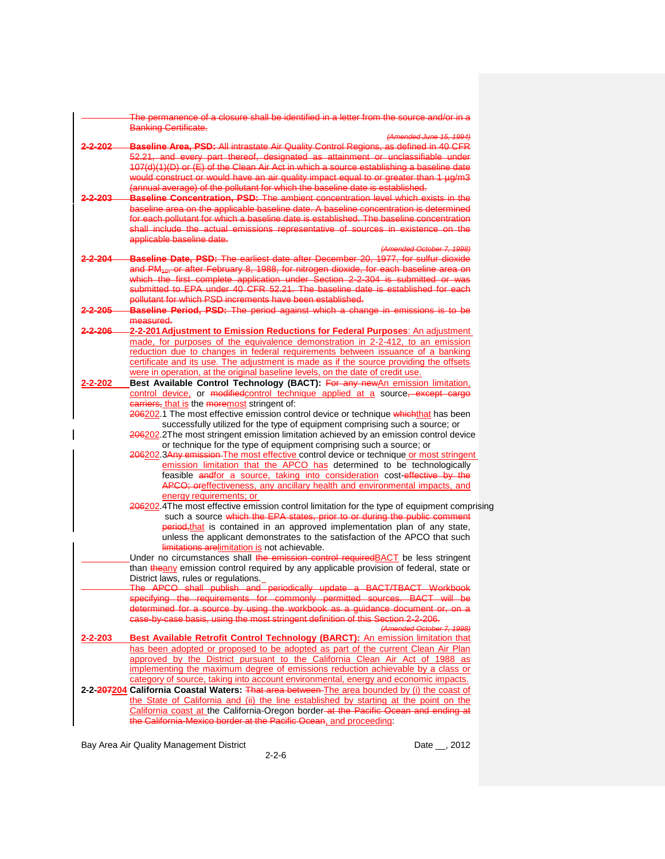|               | The permanence of a closure shall be identified in a letter from the source and/or in a<br><b>Banking Certificate.</b>                                                              |
|---------------|-------------------------------------------------------------------------------------------------------------------------------------------------------------------------------------|
|               | (Amended June 15, 1994)                                                                                                                                                             |
| 2.202         | Baseline Area, PSD: All intrastate Air Quality Control Regions, as defined in 40 CFR                                                                                                |
|               | 52.21, and every part thereof, designated as attainment or unclassifiable under                                                                                                     |
|               | 107(d)(1)(D) or (E) of the Clean Air Act in which a source establishing a baseline date                                                                                             |
|               | would construct or would have an air quality impact equal to or greater than 1 µg/m3                                                                                                |
| -2-203        | (annual average) of the pollutant for which the baseline date is established.                                                                                                       |
|               | <b>Baseline Concentration, PSD:</b> The ambient concentration level which exists in the<br>baseline area on the applicable baseline date. A baseline concentration is determined    |
|               | for each pollutant for which a baseline date is established. The baseline concentration                                                                                             |
|               | shall include the actual emissions representative of sources in existence on the                                                                                                    |
|               | applicable baseline date.                                                                                                                                                           |
|               | (Amended October 7, 1998)                                                                                                                                                           |
| <u>2-204</u>  | <b>Baseline Date, PSD:</b> The earliest date after December 20, 1977, for sulfur dioxide                                                                                            |
|               | and PM <sub>10</sub> , or after February 8, 1988, for nitrogen dioxide, for each baseline area on                                                                                   |
|               | which the first complete application under Section 2-2-304 is submitted or was                                                                                                      |
|               | submitted to EPA under 40 CFR 52.21. The baseline date is established for each                                                                                                      |
|               | pollutant for which PSD increments have been established.                                                                                                                           |
| 2-205         | <b>Baseline Period, PSD:</b> The period against which a change in emissions is to be                                                                                                |
|               | measured.                                                                                                                                                                           |
| 2-206         | 2-2-201 Adjustment to Emission Reductions for Federal Purposes: An adjustment                                                                                                       |
|               | made, for purposes of the equivalence demonstration in 2-2-412, to an emission                                                                                                      |
|               | reduction due to changes in federal requirements between issuance of a banking                                                                                                      |
|               | certificate and its use. The adjustment is made as if the source providing the offsets                                                                                              |
|               | were in operation, at the original baseline levels, on the date of credit use.                                                                                                      |
| 2-2-202       | Best Available Control Technology (BACT): For any newAn emission limitation,                                                                                                        |
|               | control device, or modifiedcontrol technique applied at a source, except cargo                                                                                                      |
|               | carriers, that is the moremost stringent of:                                                                                                                                        |
|               | 206202.1 The most effective emission control device or technique whichthat has been                                                                                                 |
|               | successfully utilized for the type of equipment comprising such a source; or                                                                                                        |
|               | 206202.2The most stringent emission limitation achieved by an emission control device                                                                                               |
|               | or technique for the type of equipment comprising such a source; or                                                                                                                 |
|               | 206202.3Any emission The most effective control device or technique or most stringent                                                                                               |
|               | emission limitation that the APCO has determined to be technologically                                                                                                              |
|               | feasible andfor a source, taking into consideration cost-effective by the                                                                                                           |
|               | APCO; oreffectiveness, any ancillary health and environmental impacts, and                                                                                                          |
|               | energy requirements; or                                                                                                                                                             |
|               | 206202.4The most effective emission control limitation for the type of equipment comprising                                                                                         |
|               | such a source which the EPA states, prior to or during the public comment                                                                                                           |
|               | period, that is contained in an approved implementation plan of any state,                                                                                                          |
|               | unless the applicant demonstrates to the satisfaction of the APCO that such                                                                                                         |
|               | limitations arelimitation is not achievable.                                                                                                                                        |
|               | Under no circumstances shall the emission control required <b>BACT</b> be less stringent<br>than the any emission control required by any applicable provision of federal, state or |
|               | District laws, rules or regulations.                                                                                                                                                |
|               | The APCO shall publish and periodically update a BACT/TBACT Workbook                                                                                                                |
|               | specifying the requirements for commonly permitted sources. BACT will be                                                                                                            |
|               | determined for a source by using the workbook as a guidance document or, on a                                                                                                       |
|               | case-by-case basis, using the most stringent definition of this Section 2-2-206.                                                                                                    |
|               | (Amended October 7, 1998)                                                                                                                                                           |
| $2 - 2 - 203$ | Best Available Retrofit Control Technology (BARCT): An emission limitation that                                                                                                     |
|               | has been adopted or proposed to be adopted as part of the current Clean Air Plan                                                                                                    |
|               | approved by the District pursuant to the California Clean Air Act of 1988 as                                                                                                        |
|               | implementing the maximum degree of emissions reduction achievable by a class or                                                                                                     |
|               | category of source, taking into account environmental, energy and economic impacts.                                                                                                 |
|               | 2-2-207204 California Coastal Waters: That area between The area bounded by (i) the coast of                                                                                        |
|               | the State of California and (ii) the line established by starting at the point on the                                                                                               |
|               | California coast at the California-Oregon border at the Pacific Ocean and ending at                                                                                                 |
|               | the California-Mexico border at the Pacific Ocean, and proceeding:                                                                                                                  |
|               |                                                                                                                                                                                     |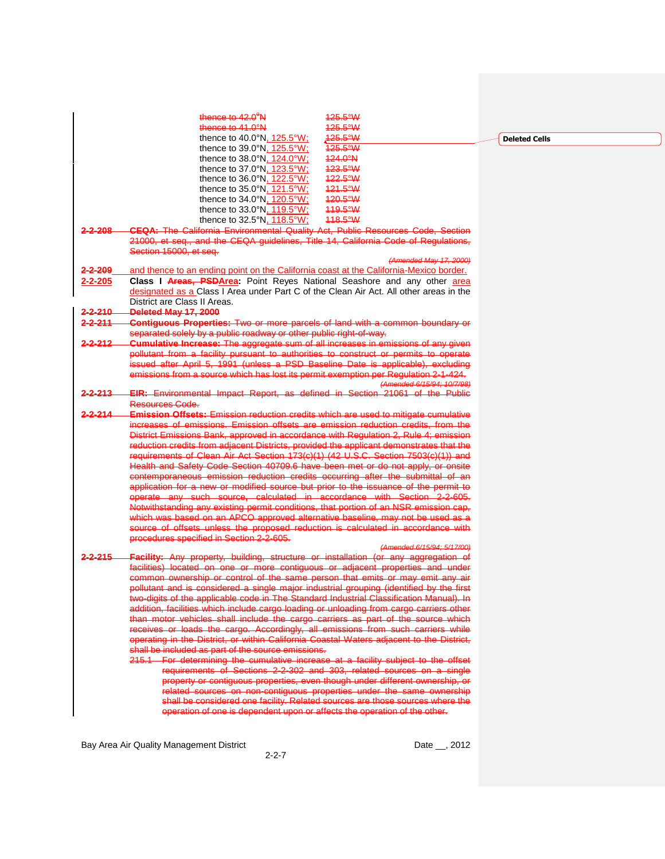|                    | thence to $42.0^{\circ}$ N<br>125.5°W                                                     |  |
|--------------------|-------------------------------------------------------------------------------------------|--|
|                    | 125.5°W<br>thence to $41.0^\circ$ N                                                       |  |
|                    | 425.5°W<br>thence to 40.0 $\degree$ N. 125.5 $\degree$ W:                                 |  |
|                    | thence to 39.0°N, 125.5°W;<br>$425.5^{\circ}W$                                            |  |
|                    | $424.0^{\circ}$ N<br>thence to 38.0°N, 124.0°W;                                           |  |
|                    | 123.5°W<br>thence to 37.0°N, 123.5°W;                                                     |  |
|                    | thence to 36.0°N, 122.5°W;<br>122.5°W                                                     |  |
|                    | thence to 35.0°N, 121.5°W;<br>121.5°W                                                     |  |
|                    | 120.5°W                                                                                   |  |
|                    | thence to 34.0°N, 120.5°W;<br>119.5°W                                                     |  |
|                    | thence to 33.0°N, 119.5°W;                                                                |  |
|                    | 448.5°W<br>thence to $32.5^\circ N$ , $118.5^\circ W$ ;                                   |  |
| 2-2-208            | <b>CEQA: The California Environmental Quality Act, Public Resources Code, Section</b>     |  |
|                    | 21000, et seq., and the CEQA guidelines, Title 14, California Code of Regulations,        |  |
|                    | Section 15000, et seq.                                                                    |  |
|                    | (Amended May 17, 2000)                                                                    |  |
| $2 - 2 - 209$      | and thence to an ending point on the California coast at the California-Mexico border.    |  |
| 2-2-205            | Class I Areas, PSDArea: Point Reyes National Seashore and any other area                  |  |
|                    | designated as a Class I Area under Part C of the Clean Air Act. All other areas in the    |  |
|                    | District are Class II Areas.                                                              |  |
| 2-2-210            | Deleted May 17, 2000                                                                      |  |
| 2-2-211            | <b>Contiguous Properties: Two or more parcels of land with a common boundary or</b>       |  |
|                    | separated solely by a public roadway or other public right-of-way.                        |  |
| 2-2-212            | <b>Cumulative Increase:</b> The aggregate sum of all increases in emissions of any given  |  |
|                    | pollutant from a facility pursuant to authorities to construct or permits to operate      |  |
|                    | issued after April 5, 1991 (unless a PSD Baseline Date is applicable), excluding          |  |
|                    | emissions from a source which has lost its permit exemption per Regulation 2-1-424.       |  |
|                    | (Amended 6/15/94; 10/7/98)                                                                |  |
| <del>2-2-213</del> | EIR: Environmental Impact Report, as defined in Section 21061 of the Public               |  |
|                    | Resources Code.                                                                           |  |
| $2 - 2 - 214$      | <b>Emission Offsets:</b> Emission reduction credits which are used to mitigate cumulative |  |
|                    | increases of emissions. Emission offsets are emission reduction credits, from the         |  |
|                    |                                                                                           |  |
|                    | District Emissions Bank, approved in accordance with Regulation 2, Rule 4; emission       |  |
|                    | reduction credits from adjacent Districts, provided the applicant demonstrates that the   |  |
|                    | requirements of Clean Air Act Section 173(c)(1) (42 U.S.C. Section 7503(c)(1)) and        |  |
|                    | Health and Safety Code Section 40709.6 have been met or do not apply, or onsite           |  |
|                    | contemporaneous emission reduction credits occurring after the submittal of an            |  |
|                    | application for a new or modified source but prior to the issuance of the permit to       |  |
|                    | operate any such source, calculated in accordance with Section 2-2-605.                   |  |
|                    | Notwithstanding any existing permit conditions, that portion of an NSR emission cap,      |  |
|                    | which was based on an APCO approved alternative baseline, may not be used as a            |  |
|                    | source of offsets unless the proposed reduction is calculated in accordance with          |  |
|                    | procedures specified in Section 2-2-605.                                                  |  |
|                    | (Amended 6/15/94: 5/17/00)                                                                |  |
| 2-2-215            | Facility: Any property, building, structure or installation (or any aggregation of        |  |
|                    | facilities) located on one or more contiguous or adjacent properties and under            |  |
|                    | common ownership or control of the same person that emits or may emit any air             |  |
|                    | pollutant and is considered a single major industrial grouping (identified by the first   |  |
|                    | two-digits of the applicable code in The Standard Industrial Classification Manual). In   |  |
|                    | addition, facilities which include cargo loading or unloading from cargo carriers other   |  |
|                    | than motor vehicles shall include the cargo carriers as part of the source which          |  |
|                    | receives or loads the cargo. Accordingly, all emissions from such carriers while          |  |
|                    | operating in the District, or within California Coastal Waters adjacent to the District,  |  |
|                    | shall be included as part of the source emissions.                                        |  |
|                    | 215.1 For determining the cumulative increase at a facility subject to the offset         |  |
|                    | requirements of Sections 2-2-302 and 303, related sources on a single                     |  |
|                    | property or contiguous properties, even though under different ownership, or              |  |
|                    | related sources on non-contiguous properties under the same ownership                     |  |
|                    | shall be considered one facility. Related sources are those sources where the             |  |
|                    | operation of one is dependent upon or affects the operation of the other.                 |  |
|                    |                                                                                           |  |

2-2-7

**Deleted Cells**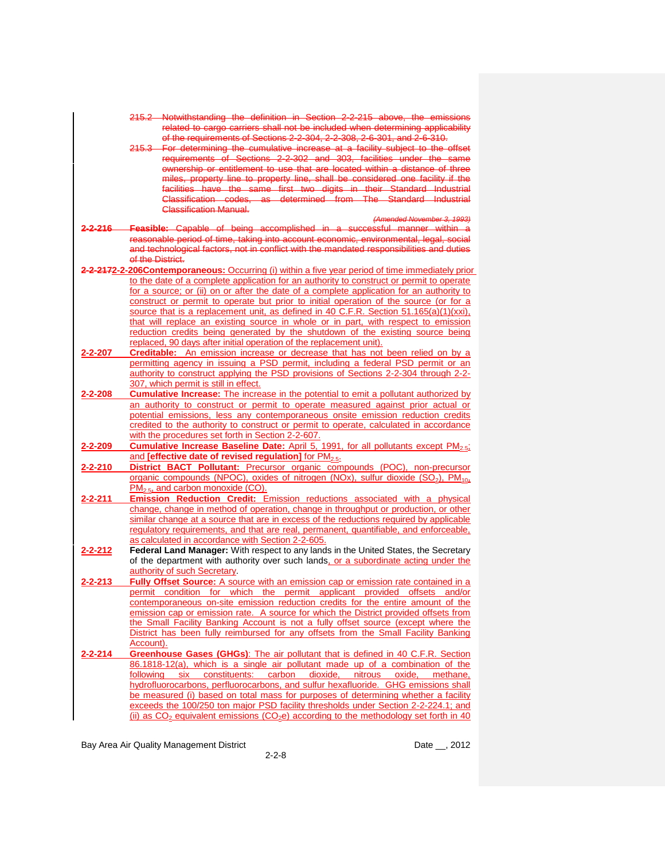|               | 215.2 Notwithstanding the definition in Section 2-2-215 above, the emissions                                                                                                              |
|---------------|-------------------------------------------------------------------------------------------------------------------------------------------------------------------------------------------|
|               | related to cargo carriers shall not be included when determining applicability                                                                                                            |
|               | of the requirements of Sections 2-2-304, 2-2-308, 2-6-301, and 2-6-310.<br>215.3 For determining the cumulative increase at a facility subject to the offset                              |
|               | requirements of Sections 2-2-302 and 303, facilities under the same                                                                                                                       |
|               | ownership or entitlement to use that are located within a distance of three                                                                                                               |
|               | miles, property line to property line, shall be considered one facility if the                                                                                                            |
|               | facilities have the same first two digits in their Standard Industrial                                                                                                                    |
|               | Classification codes, as determined from The Standard Industrial                                                                                                                          |
|               | <b>Classification Manual-</b><br>(Amended November 3, 1993)                                                                                                                               |
| -2-216-       | Feasible: Capable of being accomplished in a successful manner within a                                                                                                                   |
|               | reasonable period of time, taking into account economic, environmental, legal, social                                                                                                     |
|               | and technological factors, not in conflict with the mandated responsibilities and duties                                                                                                  |
|               | of the District.                                                                                                                                                                          |
|               | 2-2-2172-2-206Contemporaneous: Occurring (i) within a five year period of time immediately prior                                                                                          |
|               | to the date of a complete application for an authority to construct or permit to operate                                                                                                  |
|               | for a source; or (ii) on or after the date of a complete application for an authority to                                                                                                  |
|               | construct or permit to operate but prior to initial operation of the source (or for a<br>source that is a replacement unit, as defined in 40 C.F.R. Section 51.165(a)(1)(xxi),            |
|               | that will replace an existing source in whole or in part, with respect to emission                                                                                                        |
|               | reduction credits being generated by the shutdown of the existing source being                                                                                                            |
|               | replaced, 90 days after initial operation of the replacement unit).                                                                                                                       |
| 2-2-207       | <b>Creditable:</b> An emission increase or decrease that has not been relied on by a                                                                                                      |
|               | permitting agency in issuing a PSD permit, including a federal PSD permit or an                                                                                                           |
|               | authority to construct applying the PSD provisions of Sections 2-2-304 through 2-2-                                                                                                       |
| 2-2-208       | 307, which permit is still in effect.<br><b>Cumulative Increase:</b> The increase in the potential to emit a pollutant authorized by                                                      |
|               | an authority to construct or permit to operate measured against prior actual or                                                                                                           |
|               | potential emissions, less any contemporaneous onsite emission reduction credits                                                                                                           |
|               | credited to the authority to construct or permit to operate, calculated in accordance                                                                                                     |
|               | with the procedures set forth in Section 2-2-607.                                                                                                                                         |
| 2-2-209       | Cumulative Increase Baseline Date: April 5, 1991, for all pollutants except PM <sub>2.51</sub>                                                                                            |
|               | and [effective date of revised regulation] for PM <sub>2.5</sub> .                                                                                                                        |
| 2-2-210       | District BACT Pollutant: Precursor organic compounds (POC), non-precursor<br>organic compounds (NPOC), oxides of nitrogen (NOx), sulfur dioxide (SO <sub>2</sub> ), PM <sub>10</sub> ,    |
|               | $PM2.5$ , and carbon monoxide (CO).                                                                                                                                                       |
| 2-2-211       | <b>Emission Reduction Credit:</b> Emission reductions associated with a physical                                                                                                          |
|               | change, change in method of operation, change in throughput or production, or other                                                                                                       |
|               | similar change at a source that are in excess of the reductions required by applicable                                                                                                    |
|               | regulatory requirements, and that are real, permanent, quantifiable, and enforceable,                                                                                                     |
|               | as calculated in accordance with Section 2-2-605.                                                                                                                                         |
| 2-2-212       | Federal Land Manager: With respect to any lands in the United States, the Secretary<br>of the department with authority over such lands, or a subordinate acting under the                |
|               | authority of such Secretary.                                                                                                                                                              |
| 2-2-213       | <b>Fully Offset Source:</b> A source with an emission cap or emission rate contained in a                                                                                                 |
|               | permit condition for which the permit applicant provided offsets and/or                                                                                                                   |
|               | contemporaneous on-site emission reduction credits for the entire amount of the                                                                                                           |
|               | emission cap or emission rate. A source for which the District provided offsets from                                                                                                      |
|               | the Small Facility Banking Account is not a fully offset source (except where the                                                                                                         |
|               | District has been fully reimbursed for any offsets from the Small Facility Banking<br>Account).                                                                                           |
| $2 - 2 - 214$ | Greenhouse Gases (GHGs): The air pollutant that is defined in 40 C.F.R. Section                                                                                                           |
|               | 86.1818-12(a), which is a single air pollutant made up of a combination of the                                                                                                            |
|               | following six constituents: carbon dioxide, nitrous oxide, methane,                                                                                                                       |
|               | hydrofluorocarbons, perfluorocarbons, and sulfur hexafluoride. GHG emissions shall                                                                                                        |
|               | be measured (i) based on total mass for purposes of determining whether a facility                                                                                                        |
|               | exceeds the 100/250 ton major PSD facility thresholds under Section 2-2-224.1; and<br>(ii) as $CO2$ equivalent emissions (CO <sub>2</sub> e) according to the methodology set forth in 40 |
|               |                                                                                                                                                                                           |

2-2-8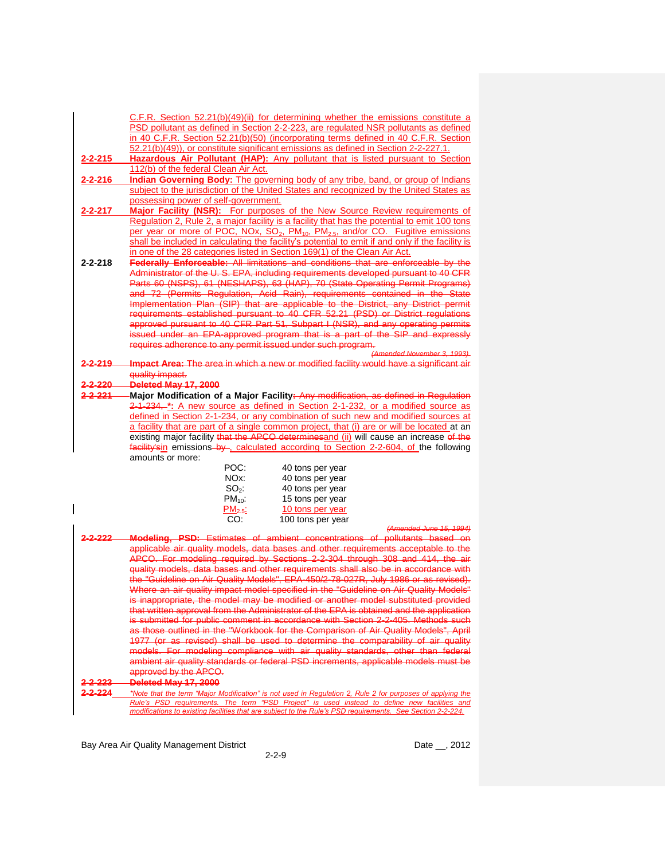| C.F.R. Section $52.21(b)(49)(ii)$ for determining whether the emissions constitute a |
|--------------------------------------------------------------------------------------|
| PSD pollutant as defined in Section 2-2-223, are regulated NSR pollutants as defined |
| in 40 C.F.R. Section 52.21(b)(50) (incorporating terms defined in 40 C.F.R. Section  |
| 52.21(b)(49)), or constitute significant emissions as defined in Section 2-2-227.1.  |

**2-2-215 Hazardous Air Pollutant (HAP):** Any pollutant that is listed pursuant to Section 112(b) of the federal Clean Air Act.

- **2-2-216 Indian Governing Body:** The governing body of any tribe, band, or group of Indians subject to the jurisdiction of the United States and recognized by the United States as possessing power of self-government.
- **2-2-217 Major Facility (NSR):** For purposes of the New Source Review requirements of Regulation 2, Rule 2, a major facility is a facility that has the potential to emit 100 tons per year or more of POC, NOx, SO<sub>2</sub>, PM<sub>10</sub>, PM<sub>2.5</sub>, and/or CO. Fugitive emissions shall be included in calculating the facility's potential to emit if and only if the facility is in one of the 28 categories listed in Section 169(1) of the Clean Air Act.
- **2-2-218 Federally Enforceable:** All limitations and conditions that are enforceable by the Administrator of the U. S. EPA, including requirements developed pursuant to 40 CFR Parts 60 (NSPS), 61 (NESHAPS), 63 (HAP), 70 (State Operating Permit Programs) and 72 (Permits Regulation, Acid Rain), requirements Implementation Plan (SIP) that are applicable to the District, any District permit requirements established pursuant to 40 CFR 52.21 (PSD) or District regulations proved pursuant to 40 CFR Part 51, Subpart I (NSR), and any operating permits ued under an EPA-approved program that is a part of the SIP and expressly requires adherence to any permit issued under such program.
- *(Amended November 3, 1993).* **2-2-219 Impact Area:** The area in which a new or modified facility would have a significant air quality impact.

**2-2-220 Deleted May 17, 2000**

**2-2-221 Major Modification of a Major Facility:** Any modification, as defined in Regulation 2-1-234, **\*:** A new source as defined in Section 2-1-232, or a modified source as defined in Section 2-1-234, or any combination of such new and modified sources at a facility that are part of a single common project, that (i) are or will be located at an existing major facility that the APCO determinesand (ii) will cause an increase of the facility'sin emissions by , calculated according to Section 2-2-604, of the following amounts or more:

| POC:         | 40 tons per year  |
|--------------|-------------------|
| NOx:         | 40 tons per year  |
| $SO2$ :      | 40 tons per year  |
| $PM_{10}$ :  | 15 tons per year  |
| $PM_{2.5}$ : | 10 tons per year  |
| CO:          | 100 tons per year |

*(Amended June 15, 1994)* 2-2-222 Modeling, PSD: Estimates of ambient concentrations of pollutants based applicable air quality models, data bases and other requirements acceptable to the APCO. For modeling required by Sections 2-2-304 through 308 and 414, the air quality models, data bases and other requirements shall also be in accordance with "Guideline on Air Quality Models", EPA-450/2-78-027R, July 1986 or as revised). Where an air quality impact model specified in the "Guideline on Air Quality Models" is inappropriate, the model may be modified or another model substituted provided written approval from the Administrator of the EPA is obtained and the application submitted for public comment in accordance with Section 2-2-405. Methods such

those outlined in the "Workbook for the Comparison of Air Quality Models", April 1977 (or as revised) shall be used to determine the comparability of air quality models. For modeling compliance with air quality standards, other than federal ambient air quality standards or federal PSD increments, applicable models must be approved by the APCO.

**2-2-223 Deleted May 17, 2000**

**2-2-224** *\*Note that the term "Major Modification" is not used in Regulation 2, Rule 2 for purposes of applying the Rule's PSD requirements. The term "PSD Project" is used instead to define new facilities and modifications to existing facilities that are subject to the Rule's PSD requirements. See Section 2-2-224.*

Bay Area Air Quality Management District **Date Leap and Alexander Control** Date Leap 2012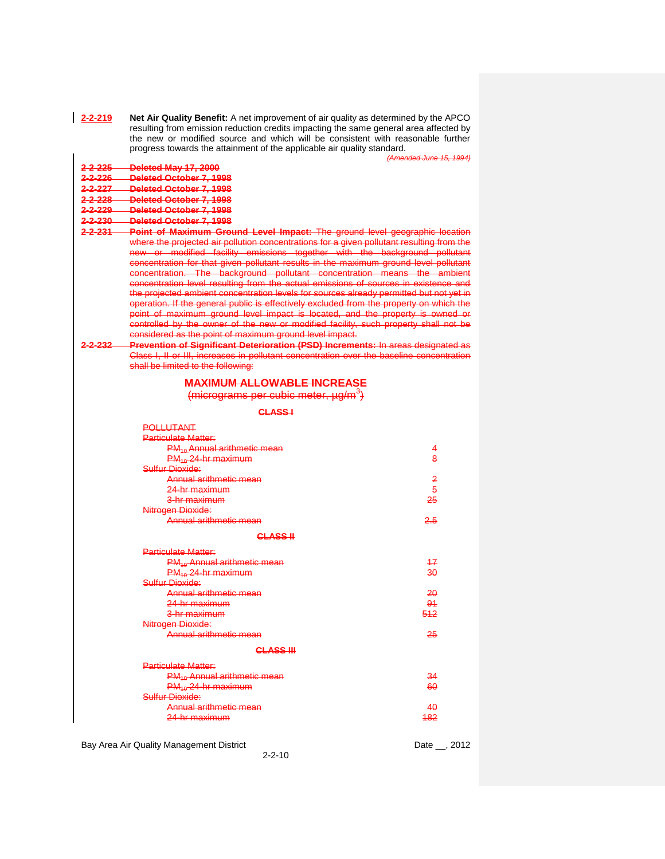| $2 - 2 - 219$ | Net Air Quality Benefit: A net improvement of air quality as determined by the APCO   |
|---------------|---------------------------------------------------------------------------------------|
|               | resulting from emission reduction credits impacting the same general area affected by |
|               | the new or modified source and which will be consistent with reasonable further       |
|               | progress towards the attainment of the applicable air quality standard.               |

|                      |                                                                                                                                                                                                                                                                                                                                                                                                                                                                                                                                                                                                                                                                                                                                                                                                                                                                                                                                               | (Amended June 15, 1994) |
|----------------------|-----------------------------------------------------------------------------------------------------------------------------------------------------------------------------------------------------------------------------------------------------------------------------------------------------------------------------------------------------------------------------------------------------------------------------------------------------------------------------------------------------------------------------------------------------------------------------------------------------------------------------------------------------------------------------------------------------------------------------------------------------------------------------------------------------------------------------------------------------------------------------------------------------------------------------------------------|-------------------------|
| <del>2-2-225</del>   | Deleted May 17, 2000                                                                                                                                                                                                                                                                                                                                                                                                                                                                                                                                                                                                                                                                                                                                                                                                                                                                                                                          |                         |
| <del>2-2-226</del> — | <b>Deleted October 7, 1998</b>                                                                                                                                                                                                                                                                                                                                                                                                                                                                                                                                                                                                                                                                                                                                                                                                                                                                                                                |                         |
| <del>2-2-227</del>   | <b>Deleted October 7, 1998</b>                                                                                                                                                                                                                                                                                                                                                                                                                                                                                                                                                                                                                                                                                                                                                                                                                                                                                                                |                         |
| <del>2-2-228</del>   | Deleted October 7, 1998                                                                                                                                                                                                                                                                                                                                                                                                                                                                                                                                                                                                                                                                                                                                                                                                                                                                                                                       |                         |
| <del>2-2-229</del>   | Deleted October 7, 1998                                                                                                                                                                                                                                                                                                                                                                                                                                                                                                                                                                                                                                                                                                                                                                                                                                                                                                                       |                         |
| 2-2-230-             | Deleted October 7, 1998                                                                                                                                                                                                                                                                                                                                                                                                                                                                                                                                                                                                                                                                                                                                                                                                                                                                                                                       |                         |
| <del>2-2-231</del>   | Point of Maximum Ground Level Impact: The ground level geographic location                                                                                                                                                                                                                                                                                                                                                                                                                                                                                                                                                                                                                                                                                                                                                                                                                                                                    |                         |
| 2-2-232              | where the projected air pollution concentrations for a given pollutant resulting from the<br>new or modified facility emissions together with the background pollutant<br>concentration for that given pollutant results in the maximum ground level pollutant<br>concentration. The background pollutant concentration means the ambient<br>concentration level resulting from the actual emissions of sources in existence and<br>the projected ambient concentration levels for sources already permitted but not yet in<br>operation. If the general public is effectively excluded from the property on which the<br>point of maximum ground level impact is located, and the property is owned or<br>controlled by the owner of the new or modified facility, such property shall not be<br>considered as the point of maximum ground level impact.<br>Prevention of Significant Deterioration (PSD) Increments: In areas designated as |                         |
|                      | Class I, II or III, increases in pollutant concentration over the baseline concentration                                                                                                                                                                                                                                                                                                                                                                                                                                                                                                                                                                                                                                                                                                                                                                                                                                                      |                         |
|                      | shall be limited to the following:                                                                                                                                                                                                                                                                                                                                                                                                                                                                                                                                                                                                                                                                                                                                                                                                                                                                                                            |                         |
|                      | <b>MAXIMUM ALLOWABLE INCREASE</b>                                                                                                                                                                                                                                                                                                                                                                                                                                                                                                                                                                                                                                                                                                                                                                                                                                                                                                             |                         |
|                      | (micrograms per cubic meter, µg/m <sup>3</sup> )                                                                                                                                                                                                                                                                                                                                                                                                                                                                                                                                                                                                                                                                                                                                                                                                                                                                                              |                         |
|                      | CLASS-I                                                                                                                                                                                                                                                                                                                                                                                                                                                                                                                                                                                                                                                                                                                                                                                                                                                                                                                                       |                         |
|                      | <b>POLLUTANT</b>                                                                                                                                                                                                                                                                                                                                                                                                                                                                                                                                                                                                                                                                                                                                                                                                                                                                                                                              |                         |
|                      | <b>Particulate Matter:</b>                                                                                                                                                                                                                                                                                                                                                                                                                                                                                                                                                                                                                                                                                                                                                                                                                                                                                                                    |                         |
|                      | <b>PM<sub>10</sub> Annual arithmetic mean</b>                                                                                                                                                                                                                                                                                                                                                                                                                                                                                                                                                                                                                                                                                                                                                                                                                                                                                                 | 4                       |
|                      | PM <sub>10</sub> -24-hr-maximum                                                                                                                                                                                                                                                                                                                                                                                                                                                                                                                                                                                                                                                                                                                                                                                                                                                                                                               | 8                       |
|                      | Sulfur Dioxide:                                                                                                                                                                                                                                                                                                                                                                                                                                                                                                                                                                                                                                                                                                                                                                                                                                                                                                                               |                         |
|                      | Annual arithmetic mean                                                                                                                                                                                                                                                                                                                                                                                                                                                                                                                                                                                                                                                                                                                                                                                                                                                                                                                        | 2                       |
|                      | 24-hr maximum                                                                                                                                                                                                                                                                                                                                                                                                                                                                                                                                                                                                                                                                                                                                                                                                                                                                                                                                 | $\overline{5}$          |
|                      | <del>3-hr maximum</del>                                                                                                                                                                                                                                                                                                                                                                                                                                                                                                                                                                                                                                                                                                                                                                                                                                                                                                                       | 25                      |
|                      | Nitrogen Dioxide:                                                                                                                                                                                                                                                                                                                                                                                                                                                                                                                                                                                                                                                                                                                                                                                                                                                                                                                             |                         |
|                      | Annual arithmetic mean                                                                                                                                                                                                                                                                                                                                                                                                                                                                                                                                                                                                                                                                                                                                                                                                                                                                                                                        | 2.5                     |
|                      | CLASS-II                                                                                                                                                                                                                                                                                                                                                                                                                                                                                                                                                                                                                                                                                                                                                                                                                                                                                                                                      |                         |
|                      | <b>Particulate Matter:</b>                                                                                                                                                                                                                                                                                                                                                                                                                                                                                                                                                                                                                                                                                                                                                                                                                                                                                                                    |                         |
|                      | <b>PM<sub>10</sub></b> Annual arithmetic mean                                                                                                                                                                                                                                                                                                                                                                                                                                                                                                                                                                                                                                                                                                                                                                                                                                                                                                 | 17                      |
|                      | PM <sub>10</sub> -24-hr-maximum                                                                                                                                                                                                                                                                                                                                                                                                                                                                                                                                                                                                                                                                                                                                                                                                                                                                                                               | 30                      |
|                      | Sulfur Dioxide:                                                                                                                                                                                                                                                                                                                                                                                                                                                                                                                                                                                                                                                                                                                                                                                                                                                                                                                               |                         |
|                      | Annual arithmetic mean                                                                                                                                                                                                                                                                                                                                                                                                                                                                                                                                                                                                                                                                                                                                                                                                                                                                                                                        | 20                      |
|                      | 24-hr maximum                                                                                                                                                                                                                                                                                                                                                                                                                                                                                                                                                                                                                                                                                                                                                                                                                                                                                                                                 | 91                      |
|                      | <del>3-hr maximum</del>                                                                                                                                                                                                                                                                                                                                                                                                                                                                                                                                                                                                                                                                                                                                                                                                                                                                                                                       | 512                     |
|                      | Nitrogen Dioxide:                                                                                                                                                                                                                                                                                                                                                                                                                                                                                                                                                                                                                                                                                                                                                                                                                                                                                                                             |                         |
|                      | Annual arithmetic mean                                                                                                                                                                                                                                                                                                                                                                                                                                                                                                                                                                                                                                                                                                                                                                                                                                                                                                                        | 25                      |
|                      | CLASS III                                                                                                                                                                                                                                                                                                                                                                                                                                                                                                                                                                                                                                                                                                                                                                                                                                                                                                                                     |                         |
|                      | <b>Particulate Matter:</b>                                                                                                                                                                                                                                                                                                                                                                                                                                                                                                                                                                                                                                                                                                                                                                                                                                                                                                                    |                         |
|                      | <b>PM<sub>10</sub></b> Annual arithmetic mean                                                                                                                                                                                                                                                                                                                                                                                                                                                                                                                                                                                                                                                                                                                                                                                                                                                                                                 | 34                      |
|                      | $PM_{10}$ 24-hr maximum                                                                                                                                                                                                                                                                                                                                                                                                                                                                                                                                                                                                                                                                                                                                                                                                                                                                                                                       | 60                      |
|                      | Sulfur Dioxide:                                                                                                                                                                                                                                                                                                                                                                                                                                                                                                                                                                                                                                                                                                                                                                                                                                                                                                                               |                         |
|                      | Annual arithmetic mean                                                                                                                                                                                                                                                                                                                                                                                                                                                                                                                                                                                                                                                                                                                                                                                                                                                                                                                        | 40                      |
|                      | <del>24-hr maximum</del>                                                                                                                                                                                                                                                                                                                                                                                                                                                                                                                                                                                                                                                                                                                                                                                                                                                                                                                      | 482                     |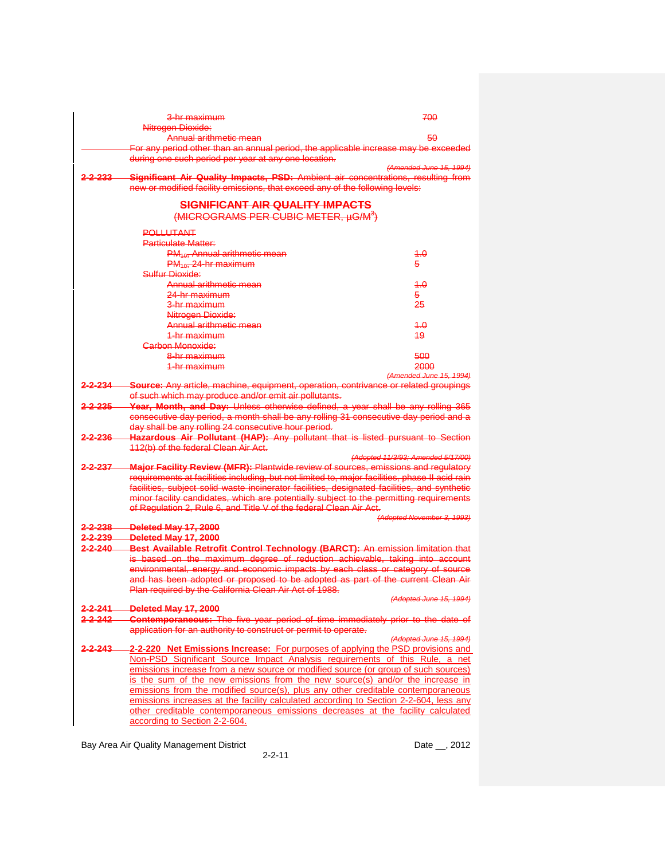|                      | <del>3-hr maximum</del>                                                                        | 700                                |
|----------------------|------------------------------------------------------------------------------------------------|------------------------------------|
|                      | Nitrogen Dioxide:                                                                              |                                    |
|                      | Annual arithmetic mean                                                                         | 50                                 |
|                      | For any period other than an annual period, the applicable increase may be exceeded            |                                    |
|                      | during one such period per year at any one location.                                           |                                    |
|                      |                                                                                                | (Amended June 15, 1994)            |
| 2-2-233              | Significant Air Quality Impacts, PSD: Ambient air concentrations, resulting from               |                                    |
|                      | new or modified facility emissions, that exceed any of the following levels:                   |                                    |
|                      | SIGNIFICANT AIR QUALITY IMPACTS<br>(MICROGRAMS PER CUBIC METER, µG/M <sup>3</sup> )            |                                    |
|                      | <b>POLLUTANT</b>                                                                               |                                    |
|                      | <b>Particulate Matter:</b>                                                                     |                                    |
|                      | <b>PM<sub>10</sub></b> , Annual arithmetic mean                                                | 4.0                                |
|                      | $PM_{40}$ , 24-hr maximum                                                                      | 5.                                 |
|                      | Sulfur Dioxide:                                                                                |                                    |
|                      | <u>Annual arithmetic mean</u>                                                                  | 4.0                                |
|                      |                                                                                                |                                    |
|                      | 24-hr maximum                                                                                  | 5.                                 |
|                      | <del>3-hr maximum</del>                                                                        | 25                                 |
|                      | Nitrogen Diexide:                                                                              |                                    |
|                      | <del>Annual arithmetic mean</del>                                                              | 4.0                                |
|                      | 1-br maximum                                                                                   | 49                                 |
|                      | Carbon Monoxide:                                                                               |                                    |
|                      | <del>8-hr maximum</del>                                                                        | 500                                |
|                      | 1-hr maximum                                                                                   | 2000                               |
| 2-2-234              | <b>Source:</b> Any article, machine, equipment, operation, contrivance or related groupings    | (Amended June 15, 1994)            |
|                      | of such which may produce and/or emit air pollutants.                                          |                                    |
| $2 - 2 - 235$        | Year, Month, and Day: Unless otherwise defined, a year shall be any rolling 365                |                                    |
|                      | consecutive day period, a month shall be any rolling 31 consecutive day period and a           |                                    |
|                      | day shall be any rolling 24 consecutive hour period.                                           |                                    |
| 2-2-236              | <b>Hazardous Air Pollutant (HAP):</b> Any pollutant that is listed pursuant to Section         |                                    |
|                      | 112(b) of the federal Clean Air Act.                                                           |                                    |
|                      |                                                                                                | (Adopted 11/3/93; Amended 5/17/00) |
| $2 - 2 - 237$        | <b>Major Facility Review (MFR): Plantwide review of sources, emissions and regulatory</b>      |                                    |
|                      | requirements at facilities including, but not limited to, major facilities, phase II acid rain |                                    |
|                      | facilities, subject solid waste incinerator facilities, designated facilities, and synthetic   |                                    |
|                      | minor facility candidates, which are potentially subject to the permitting requirements        |                                    |
|                      | of Regulation 2, Rule 6, and Title V of the federal Clean Air Act.                             |                                    |
|                      |                                                                                                | (Adopted November 3, 1993)         |
| 2-2-238              | Deleted May 17, 2000                                                                           |                                    |
| 2-2-239              | Deleted May 17, 2000                                                                           |                                    |
| $2 - 2 - 240$        | Best Available Retrofit Control Technology (BARCT): An emission limitation that                |                                    |
|                      | is based on the maximum degree of reduction achievable, taking into account                    |                                    |
|                      | environmental, energy and economic impacts by each class or category of source                 |                                    |
|                      | and has been adopted or proposed to be adopted as part of the current Clean Air                |                                    |
|                      | Plan required by the California Clean Air Act of 1988.                                         |                                    |
|                      |                                                                                                | (Adopted June 15, 1994)            |
| <del>2-2-241 -</del> | Deleted May 17, 2000                                                                           |                                    |
| <del>2-2-242</del>   | Contemporaneous: The five year period of time immediately prior to the date of                 |                                    |
|                      | application for an authority to construct or permit to operate.                                |                                    |
|                      |                                                                                                | (Adopted June 15, 1994)            |
| 2-2-243-             | -2-2-220 Net Emissions Increase: For purposes of applying the PSD provisions and               |                                    |
|                      | Non-PSD Significant Source Impact Analysis requirements of this Rule, a net                    |                                    |
|                      | emissions increase from a new source or modified source (or group of such sources)             |                                    |
|                      | is the sum of the new emissions from the new source(s) and/or the increase in                  |                                    |
|                      | emissions from the modified source(s), plus any other creditable contemporaneous               |                                    |
|                      | emissions increases at the facility calculated according to Section 2-2-604, less any          |                                    |
|                      | other creditable contemporaneous emissions decreases at the facility calculated                |                                    |
|                      | according to Section 2-2-604.                                                                  |                                    |

2-2-11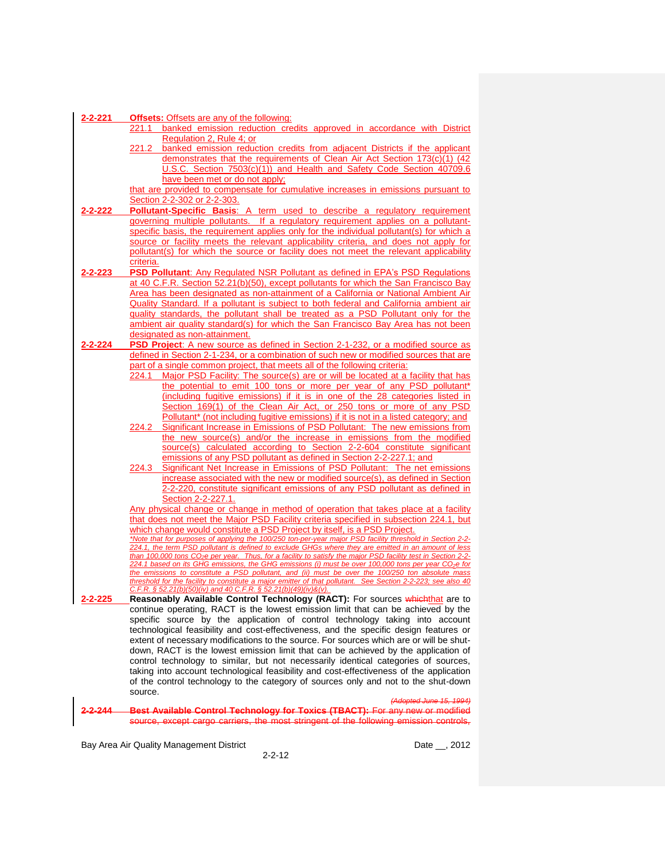| 2-2-221 | <b>Offsets:</b> Offsets are any of the following:                                                                                                                                                                |
|---------|------------------------------------------------------------------------------------------------------------------------------------------------------------------------------------------------------------------|
|         | banked emission reduction credits approved in accordance with District<br>221.1                                                                                                                                  |
|         | Regulation 2, Rule 4; or                                                                                                                                                                                         |
|         | 221.2 banked emission reduction credits from adjacent Districts if the applicant                                                                                                                                 |
|         | demonstrates that the requirements of Clean Air Act Section 173(c)(1) (42                                                                                                                                        |
|         | U.S.C. Section 7503(c)(1)) and Health and Safety Code Section 40709.6                                                                                                                                            |
|         | have been met or do not apply;                                                                                                                                                                                   |
|         | that are provided to compensate for cumulative increases in emissions pursuant to                                                                                                                                |
|         | Section 2-2-302 or 2-2-303.                                                                                                                                                                                      |
| 2-2-222 | <b>Pollutant-Specific Basis:</b> A term used to describe a regulatory requirement                                                                                                                                |
|         | governing multiple pollutants. If a regulatory requirement applies on a pollutant-<br>specific basis, the requirement applies only for the individual pollutant(s) for which a                                   |
|         | source or facility meets the relevant applicability criteria, and does not apply for                                                                                                                             |
|         | pollutant(s) for which the source or facility does not meet the relevant applicability                                                                                                                           |
|         | criteria.                                                                                                                                                                                                        |
| 2-2-223 | <b>PSD Pollutant:</b> Any Regulated NSR Pollutant as defined in EPA's PSD Regulations                                                                                                                            |
|         | at 40 C.F.R. Section 52.21(b)(50), except pollutants for which the San Francisco Bay                                                                                                                             |
|         | Area has been designated as non-attainment of a California or National Ambient Air                                                                                                                               |
|         | Quality Standard. If a pollutant is subject to both federal and California ambient air                                                                                                                           |
|         | quality standards, the pollutant shall be treated as a PSD Pollutant only for the                                                                                                                                |
|         | ambient air quality standard(s) for which the San Francisco Bay Area has not been                                                                                                                                |
|         | designated as non-attainment.                                                                                                                                                                                    |
| 2-2-224 | <b>PSD Project:</b> A new source as defined in Section 2-1-232, or a modified source as                                                                                                                          |
|         | defined in Section 2-1-234, or a combination of such new or modified sources that are                                                                                                                            |
|         | part of a single common project, that meets all of the following criteria:                                                                                                                                       |
|         | Major PSD Facility: The source(s) are or will be located at a facility that has<br>224.1                                                                                                                         |
|         | the potential to emit 100 tons or more per year of any PSD pollutant*                                                                                                                                            |
|         | (including fugitive emissions) if it is in one of the 28 categories listed in                                                                                                                                    |
|         | Section 169(1) of the Clean Air Act, or 250 tons or more of any PSD<br>Pollutant* (not including fugitive emissions) if it is not in a listed category; and                                                      |
|         | Significant Increase in Emissions of PSD Pollutant: The new emissions from<br>224.2                                                                                                                              |
|         | the new source(s) and/or the increase in emissions from the modified                                                                                                                                             |
|         | source(s) calculated according to Section 2-2-604 constitute significant                                                                                                                                         |
|         | emissions of any PSD pollutant as defined in Section 2-2-227.1; and                                                                                                                                              |
|         | Significant Net Increase in Emissions of PSD Pollutant: The net emissions<br>224.3                                                                                                                               |
|         | increase associated with the new or modified source(s), as defined in Section                                                                                                                                    |
|         | 2-2-220, constitute significant emissions of any PSD pollutant as defined in                                                                                                                                     |
|         | Section 2-2-227.1.                                                                                                                                                                                               |
|         | Any physical change or change in method of operation that takes place at a facility                                                                                                                              |
|         | that does not meet the Major PSD Facility criteria specified in subsection 224.1, but                                                                                                                            |
|         | which change would constitute a PSD Project by itself, is a PSD Project.<br>*Note that for purposes of applying the 100/250 ton-per-year major PSD facility threshold in Section 2-2-                            |
|         | 224.1, the term PSD pollutant is defined to exclude GHGs where they are emitted in an amount of less                                                                                                             |
|         | than 100,000 tons CO <sub>2</sub> e per year. Thus, for a facility to satisfy the major PSD facility test in Section 2-2-                                                                                        |
|         | 224.1 based on its GHG emissions, the GHG emissions (i) must be over 100,000 tons per year CO <sub>2</sub> e for                                                                                                 |
|         | the emissions to constitute a PSD pollutant, and (ii) must be over the 100/250 ton absolute mass<br>threshold for the facility to constitute a major emitter of that pollutant. See Section 2-2-223; see also 40 |
|         | C.F.R. § 52.21(b)(50)(iv) and 40 C.F.R. § 52.21(b)(49)(iv)&(v).                                                                                                                                                  |
| 2-2-225 | Reasonably Available Control Technology (RACT): For sources whichthat are to                                                                                                                                     |
|         | continue operating, RACT is the lowest emission limit that can be achieved by the                                                                                                                                |
|         | specific source by the application of control technology taking into account                                                                                                                                     |
|         | technological feasibility and cost-effectiveness, and the specific design features or                                                                                                                            |
|         | extent of necessary modifications to the source. For sources which are or will be shut-                                                                                                                          |
|         | down, RACT is the lowest emission limit that can be achieved by the application of                                                                                                                               |
|         | control technology to similar, but not necessarily identical categories of sources,                                                                                                                              |
|         | taking into account technological feasibility and cost-effectiveness of the application<br>of the control technology to the category of sources only and not to the shut-down                                    |
|         | source.                                                                                                                                                                                                          |
|         | (Adopted June 15, 1994)                                                                                                                                                                                          |
| 2-2-244 | <b>Best Available Control Technology for Toxics (TBACT):</b> For any new or modified                                                                                                                             |
|         | source, except cargo carriers, the most stringent of the following emission controls,                                                                                                                            |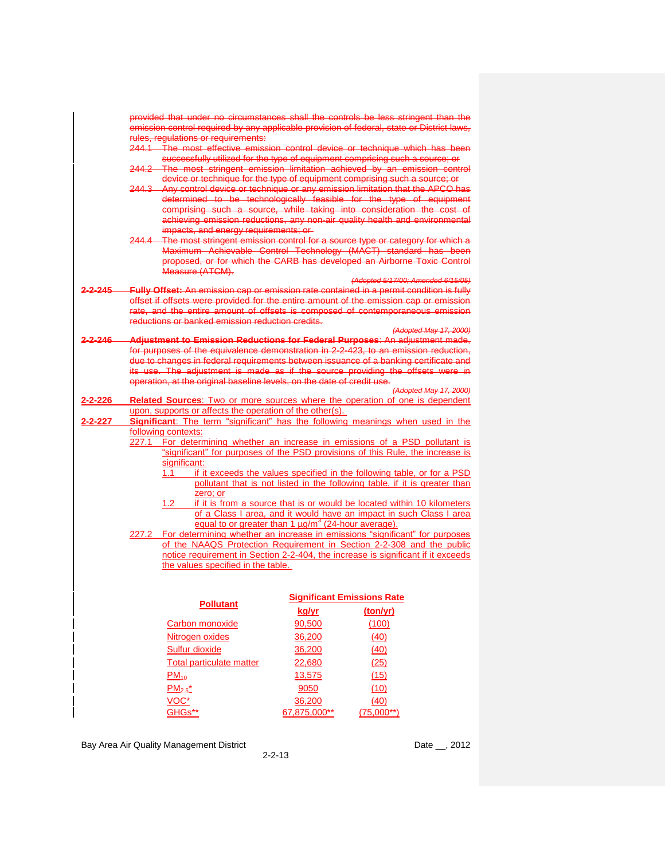|          |                                                                                 |                                   | provided that under no circumstances shall the controls be less stringent than the                                                                           |
|----------|---------------------------------------------------------------------------------|-----------------------------------|--------------------------------------------------------------------------------------------------------------------------------------------------------------|
|          |                                                                                 |                                   | emission control required by any applicable provision of federal, state or District laws,                                                                    |
|          | rules, regulations or requirements:                                             |                                   |                                                                                                                                                              |
|          |                                                                                 |                                   | 244.1 The most effective emission control device or technique which has been<br>successfully utilized for the type of equipment comprising such a source; or |
|          |                                                                                 |                                   | 244.2 The most stringent emission limitation achieved by an emission control                                                                                 |
|          |                                                                                 |                                   | device or technique for the type of equipment comprising such a source; or                                                                                   |
|          |                                                                                 |                                   | 244.3 Any control device or technique or any emission limitation that the APCO has                                                                           |
|          |                                                                                 |                                   | determined to be technologically feasible for the type of equipment                                                                                          |
|          |                                                                                 |                                   | comprising such a source, while taking into consideration the cost of                                                                                        |
|          |                                                                                 |                                   | achieving emission reductions, any non-air quality health and environmental                                                                                  |
|          | impacts, and energy requirements; or                                            |                                   | 244.4 The most stringent emission control for a source type or category for which a                                                                          |
|          |                                                                                 |                                   | Maximum Achievable Control Technology (MACT) standard has been                                                                                               |
|          |                                                                                 |                                   | proposed, or for which the CARB has developed an Airborne Toxic Control                                                                                      |
|          | Measure (ATCM).                                                                 |                                   |                                                                                                                                                              |
|          |                                                                                 |                                   | (Adopted 5/17/00; Amended 6/15/05)                                                                                                                           |
| 2-2-245  |                                                                                 |                                   | Fully Offset: An emission cap or emission rate contained in a permit condition is fully                                                                      |
|          |                                                                                 |                                   | offset if offsets were provided for the entire amount of the emission cap or emission                                                                        |
|          | reductions or banked emission reduction credits.                                |                                   | rate, and the entire amount of offsets is composed of contemporaneous emission                                                                               |
|          |                                                                                 |                                   | (Adopted May 17, 2000)                                                                                                                                       |
| 2-2-246- |                                                                                 |                                   | Adjustment to Emission Reductions for Federal Purposes: An adjustment made,                                                                                  |
|          |                                                                                 |                                   | for purposes of the equivalence demonstration in 2-2-423, to an emission reduction,                                                                          |
|          |                                                                                 |                                   | due to changes in federal requirements between issuance of a banking certificate and                                                                         |
|          |                                                                                 |                                   | its use. The adjustment is made as if the source providing the offsets were in                                                                               |
|          | operation, at the original baseline levels, on the date of credit use.          |                                   |                                                                                                                                                              |
| 2-2-226  |                                                                                 |                                   | (Adopted May 17, 2000)<br>Related Sources: Two or more sources where the operation of one is dependent                                                       |
|          | upon, supports or affects the operation of the other(s).                        |                                   |                                                                                                                                                              |
| 2-2-227  | Significant: The term "significant" has the following meanings when used in the |                                   |                                                                                                                                                              |
|          | following contexts:                                                             |                                   |                                                                                                                                                              |
|          |                                                                                 |                                   | 227.1 For determining whether an increase in emissions of a PSD pollutant is                                                                                 |
|          |                                                                                 |                                   | "significant" for purposes of the PSD provisions of this Rule, the increase is                                                                               |
|          | significant:<br>1.1                                                             |                                   | if it exceeds the values specified in the following table, or for a PSD                                                                                      |
|          |                                                                                 |                                   | pollutant that is not listed in the following table, if it is greater than                                                                                   |
|          | zero; or                                                                        |                                   |                                                                                                                                                              |
|          | 1.2                                                                             |                                   | if it is from a source that is or would be located within 10 kilometers                                                                                      |
|          |                                                                                 |                                   | of a Class I area, and it would have an impact in such Class I area                                                                                          |
|          | equal to or greater than $1 \mu g/m^3$ (24-hour average).                       |                                   |                                                                                                                                                              |
|          |                                                                                 |                                   | 227.2 For determining whether an increase in emissions "significant" for purposes                                                                            |
|          |                                                                                 |                                   | of the NAAQS Protection Requirement in Section 2-2-308 and the public<br>notice requirement in Section 2-2-404, the increase is significant if it exceeds    |
|          | the values specified in the table.                                              |                                   |                                                                                                                                                              |
|          |                                                                                 |                                   |                                                                                                                                                              |
|          |                                                                                 |                                   |                                                                                                                                                              |
|          |                                                                                 | <b>Significant Emissions Rate</b> |                                                                                                                                                              |
|          | <b>Pollutant</b>                                                                | kg/yr                             | (ton/yr)                                                                                                                                                     |
|          | Carbon monoxide                                                                 | 90,500                            | (100)                                                                                                                                                        |
|          | Nitrogen oxides                                                                 | 36,200                            | (40)                                                                                                                                                         |
|          |                                                                                 |                                   |                                                                                                                                                              |
|          | <b>Sulfur dioxide</b>                                                           | 36,200                            | (40)                                                                                                                                                         |
|          | <b>Total particulate matter</b>                                                 | 22,680                            | (25)                                                                                                                                                         |
|          | $PM_{10}$                                                                       | 13,575                            | (15)                                                                                                                                                         |
|          | $PM_{2.5}^{\star}$                                                              | 9050                              | (10)                                                                                                                                                         |
|          | VOC*                                                                            | 36,200                            | (40)                                                                                                                                                         |
|          | GHGs**                                                                          | 67,875,000**                      | $(75,000**)$                                                                                                                                                 |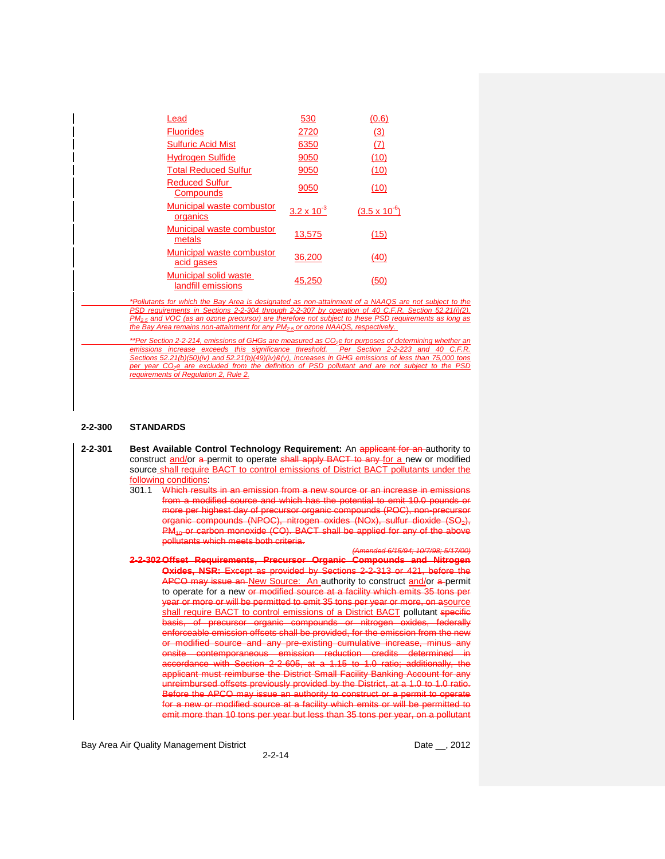| Lead                                        | 530                  | (0.6)                  |
|---------------------------------------------|----------------------|------------------------|
| <b>Fluorides</b>                            | 2720                 | (3)                    |
| <b>Sulfuric Acid Mist</b>                   | 6350                 | (7)                    |
| <b>Hydrogen Sulfide</b>                     | 9050                 | (10)                   |
| <b>Total Reduced Sulfur</b>                 | 9050                 | (10)                   |
| <b>Reduced Sulfur</b><br>Compounds          | 9050                 | (10)                   |
| Municipal waste combustor<br>organics       | $3.2 \times 10^{-3}$ | $(3.5 \times 10^{-6})$ |
| Municipal waste combustor<br>metals         | 13,575               | (15)                   |
| Municipal waste combustor<br>acid gases     | 36,200               | (40)                   |
| Municipal solid waste<br>landfill emissions | 45,250               | (50)                   |

*\*Pollutants for which the Bay Area is designated as non-attainment of a NAAQS are not subject to the PSD requirements in Sections 2-2-304 through 2-2-307 by operation of 40 C.F.R. Section 52.21(i)(2). PM2.5 and VOC (as an ozone precursor) are therefore not subject to these PSD requirements as long as the Bay Area remains non-attainment for any PM2.5 or ozone NAAQS, respectively.*

*\*\*Per Section 2-2-214, emissions of GHGs are measured as CO2e for purposes of determining whether an emissions increase exceeds this significance threshold. Per Section 2-2-223 and 40 C.F.R. Sections 52.21(b)(50)(iv) and 52.21(b)(49)(iv)&(v), increases in GHG emissions of less than 75,000 tons per year CO2e are excluded from the definition of PSD pollutant and are not subject to the PSD requirements of Regulation 2, Rule 2.*

#### **2-2-300 STANDARDS**

- 2-2-301 **Best Available Control Technology Requirement:** An applicant for an authority to construct and/or a permit to operate shall apply BACT to any for a new or modified source shall require BACT to control emissions of District BACT pollutants under the following conditions:
	- 301.1 Which results in an emission from a new source or an increase in emist from a modified source and which has the potential to emit 10.0 pounds or more per highest day of precursor organic compounds (POC), non-precursor organic compounds (NPOC), nitrogen oxides (NOx), sulfur dioxide (SO2),  $PM_{40}$  or carbon monoxide (CO). BACT shall be applied for any of the above pollutants which meets both criteria.

*(Amended 6/15/94; 10/7/98; 5/17/00)*

**2-2-302 Offset Requirements, Precursor Organic Compounds and Nitrogen Oxides, NSR:** Except as provided by Sections 2-2-313 or 421, before the APCO may issue an New Source: An authority to construct and/or a permit to operate for a new or modified source at a facility which emits 35 tons per year or more or will be permitted to emit 35 tons per year or more, on asource shall require BACT to control emissions of a District BACT pollutant specific basis, of precursor organic compounds or nitrogen oxides, federally enforceable emission offsets shall be provided, for the emission from the new or modified source and any pre-existing cumulative increase, minus any<br>onsite contemporaneous emission reduction credits determined in contemporaneous emission reduction credits determined in accordance with Section 2-2-605, at a 1.15 to 1.0 ratio; additionally, the applicant must reimburse the District Small Facility Banking Account for any eimbursed offsets previously provided by the District, at a 1.0 to 1.0 ratio. re the APCO may issue an authority to construct or a permit to operate a new or modified source at a facility which emits or will be permitted to emit more than 10 tons per year but less than 35 tons per year, on a pollutant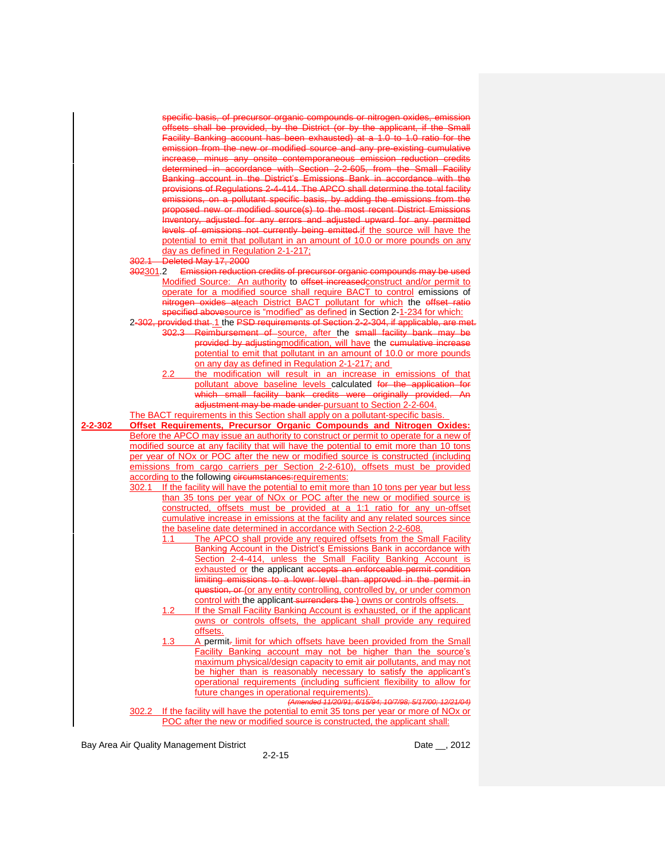|         | specific basis, of precursor organic compounds or nitrogen oxides, emission                                                                                                          |
|---------|--------------------------------------------------------------------------------------------------------------------------------------------------------------------------------------|
|         | offsets shall be provided, by the District (or by the applicant, if the Small                                                                                                        |
|         | Facility Banking account has been exhausted) at a 1.0 to 1.0 ratio for the                                                                                                           |
|         | emission from the new or modified source and any pre-existing cumulative                                                                                                             |
|         | increase, minus any onsite contemporaneous emission reduction credits                                                                                                                |
|         | determined in accordance with Section 2-2-605, from the Small Facility                                                                                                               |
|         | Banking account in the District's Emissions Bank in accordance with the                                                                                                              |
|         | provisions of Regulations 2-4-414. The APCO shall determine the total facility<br>emissions, on a pollutant specific basis, by adding the emissions from the                         |
|         | proposed new or modified source(s) to the most recent District Emissions                                                                                                             |
|         | Inventory, adjusted for any errors and adjusted upward for any permitted                                                                                                             |
|         | levels of emissions not currently being emitted if the source will have the                                                                                                          |
|         | potential to emit that pollutant in an amount of 10.0 or more pounds on any                                                                                                          |
|         | day as defined in Regulation 2-1-217;                                                                                                                                                |
|         | 302.1 Deleted May 17, 2000                                                                                                                                                           |
|         | 302301.2 Emission reduction credits of precursor organic compounds may be used                                                                                                       |
|         | Modified Source: An authority to effset increased construct and/or permit to                                                                                                         |
|         | operate for a modified source shall require BACT to control emissions of<br>nitrogen oxides ateach District BACT pollutant for which the effset ratio                                |
|         | specified abovesource is "modified" as defined in Section 2-1-234 for which:                                                                                                         |
|         | 2-302, provided that 1 the PSD requirements of Section 2-2-304, if applicable, are met.                                                                                              |
|         | 302.3 Reimbursement of source, after the small facility bank may be                                                                                                                  |
|         | provided by adjusting modification, will have the cumulative increase                                                                                                                |
|         | potential to emit that pollutant in an amount of 10.0 or more pounds                                                                                                                 |
|         | on any day as defined in Regulation 2-1-217; and                                                                                                                                     |
|         | the modification will result in an increase in emissions of that<br>2.2<br>pollutant above baseline levels calculated for the application for                                        |
|         | which small facility bank credits were originally provided. An                                                                                                                       |
|         | adjustment may be made under-pursuant to Section 2-2-604.                                                                                                                            |
|         | The BACT requirements in this Section shall apply on a pollutant-specific basis.                                                                                                     |
|         |                                                                                                                                                                                      |
| 2-2-302 | Offset Requirements, Precursor Organic Compounds and Nitrogen Oxides:                                                                                                                |
|         | Before the APCO may issue an authority to construct or permit to operate for a new of                                                                                                |
|         | modified source at any facility that will have the potential to emit more than 10 tons                                                                                               |
|         | per year of NO <sub>x</sub> or POC after the new or modified source is constructed (including                                                                                        |
|         | emissions from cargo carriers per Section 2-2-610), offsets must be provided                                                                                                         |
|         | according to the following circumstances: requirements:<br>If the facility will have the potential to emit more than 10 tons per year but less<br>302.1                              |
|         | than 35 tons per year of NO <sub>x</sub> or POC after the new or modified source is                                                                                                  |
|         | constructed, offsets must be provided at a 1:1 ratio for any un-offset                                                                                                               |
|         | cumulative increase in emissions at the facility and any related sources since                                                                                                       |
|         | the baseline date determined in accordance with Section 2-2-608.                                                                                                                     |
|         | The APCO shall provide any required offsets from the Small Facility<br>1.1                                                                                                           |
|         | Banking Account in the District's Emissions Bank in accordance with<br>Section 2-4-414, unless the Small Facility Banking Account is                                                 |
|         | exhausted or the applicant accepts an enforceable permit condition                                                                                                                   |
|         | limiting emissions to a lower level than approved in the permit in                                                                                                                   |
|         | question, or (or any entity controlling, controlled by, or under common                                                                                                              |
|         | control with the applicant surrenders the ) owns or controls offsets.                                                                                                                |
|         | If the Small Facility Banking Account is exhausted, or if the applicant<br>1.2 <sub>2</sub>                                                                                          |
|         | owns or controls offsets, the applicant shall provide any required<br>offsets.                                                                                                       |
|         | 1.3<br>A permit- limit for which offsets have been provided from the Small                                                                                                           |
|         | Facility Banking account may not be higher than the source's                                                                                                                         |
|         | maximum physical/design capacity to emit air pollutants, and may not                                                                                                                 |
|         | be higher than is reasonably necessary to satisfy the applicant's                                                                                                                    |
|         | operational requirements (including sufficient flexibility to allow for<br>future changes in operational requirements).                                                              |
|         | (Amended 11/20/91; 6/15/94; 10/7/98; 5/17/00; 12/21/04)                                                                                                                              |
|         | If the facility will have the potential to emit 35 tons per year or more of NO <sub>x</sub> or<br>302.2<br>POC after the new or modified source is constructed, the applicant shall: |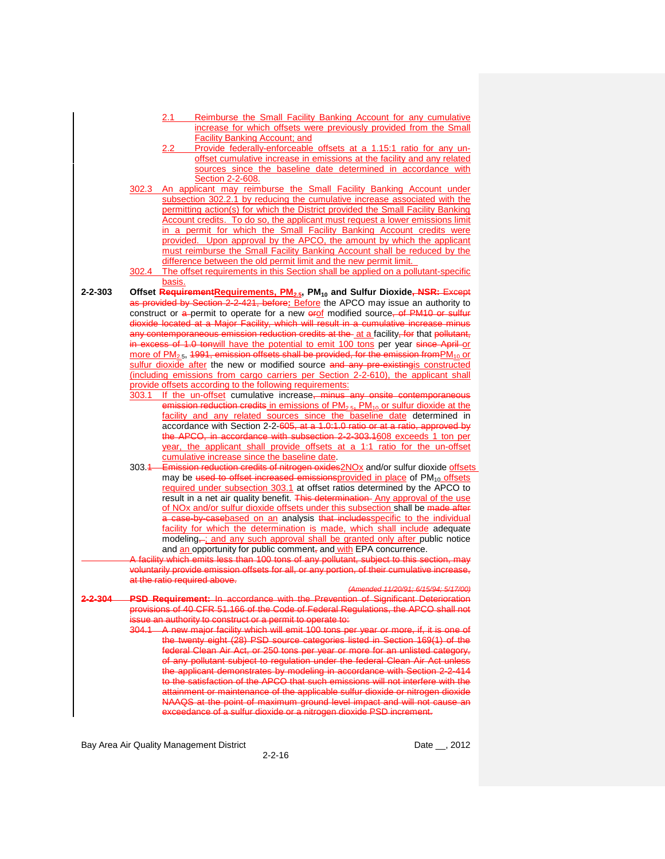|               | Reimburse the Small Facility Banking Account for any cumulative<br>2.1                                                                          |  |
|---------------|-------------------------------------------------------------------------------------------------------------------------------------------------|--|
|               | increase for which offsets were previously provided from the Small                                                                              |  |
|               | <b>Facility Banking Account; and</b>                                                                                                            |  |
|               | Provide federally-enforceable offsets at a 1.15:1 ratio for any un-<br>2.2 <sub>2</sub>                                                         |  |
|               | offset cumulative increase in emissions at the facility and any related                                                                         |  |
|               | sources since the baseline date determined in accordance with                                                                                   |  |
|               | Section 2-2-608.                                                                                                                                |  |
|               | 302.3 An applicant may reimburse the Small Facility Banking Account under                                                                       |  |
|               | subsection 302.2.1 by reducing the cumulative increase associated with the                                                                      |  |
|               | permitting action(s) for which the District provided the Small Facility Banking                                                                 |  |
|               |                                                                                                                                                 |  |
|               | Account credits. To do so, the applicant must request a lower emissions limit                                                                   |  |
|               | in a permit for which the Small Facility Banking Account credits were<br>provided. Upon approval by the APCO, the amount by which the applicant |  |
|               |                                                                                                                                                 |  |
|               | must reimburse the Small Facility Banking Account shall be reduced by the                                                                       |  |
|               | difference between the old permit limit and the new permit limit.                                                                               |  |
|               | 302.4 The offset requirements in this Section shall be applied on a pollutant-specific                                                          |  |
|               | basis.                                                                                                                                          |  |
| $2 - 2 - 303$ | Offset RequirementRequirements, PM <sub>2.5</sub> , PM <sub>10</sub> and Sulfur Dioxide <del>, NSR: Except</del>                                |  |
|               | as provided by Section 2-2-421, before: Before the APCO may issue an authority to                                                               |  |
|               | construct or a-permit to operate for a new erof modified source, of PM10 or sulfur                                                              |  |
|               | dioxide located at a Major Facility, which will result in a cumulative increase minus                                                           |  |
|               | any contemporaneous emission reduction credits at the at a facility, for that pollutant,                                                        |  |
|               | in excess of 1.0 tonwill have the potential to emit 100 tons per year since April or                                                            |  |
|               | more of PM <sub>2.5</sub> , 1991, emission offsets shall be provided, for the emission from PM <sub>10</sub> or                                 |  |
|               | sulfur dioxide after the new or modified source and any pre-existingis constructed                                                              |  |
|               | (including emissions from cargo carriers per Section 2-2-610), the applicant shall                                                              |  |
|               | provide offsets according to the following requirements:                                                                                        |  |
|               | 303.1 If the un-offset cumulative increase, minus any onsite contemporaneous                                                                    |  |
|               | emission reduction credits in emissions of PM <sub>2.5</sub> , PM <sub>10</sub> or sulfur dioxide at the                                        |  |
|               | facility and any related sources since the baseline date determined in                                                                          |  |
|               | accordance with Section 2-2-605, at a 1.0:1.0 ratio or at a ratio, approved by                                                                  |  |
|               | the APCO, in accordance with subsection 2-2-303.1608 exceeds 1 ton per                                                                          |  |
|               | year, the applicant shall provide offsets at a 1:1 ratio for the un-offset                                                                      |  |
|               | cumulative increase since the baseline date.                                                                                                    |  |
|               | 303.4 Emission reduction credits of nitrogen oxides 2NOx and/or sulfur dioxide offsets                                                          |  |
|               | may be used to offset increased emissions provided in place of PM <sub>10</sub> offsets                                                         |  |
|               | required under subsection 303.1 at offset ratios determined by the APCO to                                                                      |  |
|               | result in a net air quality benefit. This determination- Any approval of the use                                                                |  |
|               | of NOx and/or sulfur dioxide offsets under this subsection shall be made after                                                                  |  |
|               | a case-by-casebased on an analysis that includesspecific to the individual                                                                      |  |
|               | facility for which the determination is made, which shall include adequate                                                                      |  |
|               | modeling-; and any such approval shall be granted only after public notice                                                                      |  |
|               | and an opportunity for public comment, and with EPA concurrence.                                                                                |  |
|               | A facility which emits less than 100 tons of any pollutant, subject to this section, may                                                        |  |
|               | voluntarily provide emission offsets for all, or any portion, of their cumulative increase,                                                     |  |
|               | at the ratio required above.                                                                                                                    |  |
|               | (Amended 11/20/91; 6/15/94; 5/17/00)                                                                                                            |  |
| 2.2.304       | <b>DSD Pequirement:</b> In accordance with the Prevention of Significant Deterioration                                                          |  |
|               | provisions of 40 CFR 51.166 of the Code of Federal Regulations, the APCO shall not                                                              |  |
|               | issue an authority to construct or a permit to operate to:                                                                                      |  |
|               | 304.1 A new major facility which will emit 100 tons per year or more, if, it is one of                                                          |  |
|               | the twenty eight (28) PSD source categories listed in Section 169(1) of the                                                                     |  |
|               | federal Clean Air Act, or 250 tons per year or more for an unlisted category,                                                                   |  |
|               | of any pollutant subject to regulation under the federal Clean Air Act unless                                                                   |  |
|               | the applicant demonstrates by modeling in accordance with Section 2-2-414                                                                       |  |
|               | to the satisfaction of the APCO that such emissions will not interfere with the                                                                 |  |
|               | attainment or maintenance of the applicable sulfur dioxide or nitrogen dioxide                                                                  |  |
|               | NAAQS at the point of maximum ground level impact and will not cause an                                                                         |  |
|               | exceedance of a sulfur dioxide or a nitrogen dioxide PSD increment.                                                                             |  |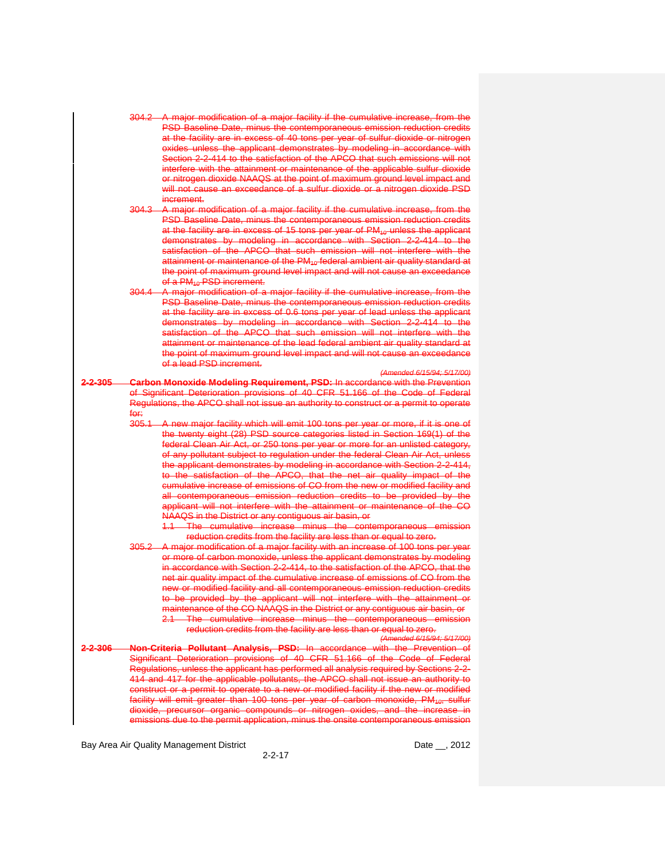- 304.2 A major modification of a major facility if the cumulative increase, from the PSD Baseline Date, minus the contemporaneous emission reduction credits at the facility are in excess of 40 tons per year of sulfur dioxide or nitrogen oxides unless the applicant demonstrates by modeling in accordance with Section 2-2-414 to the satisfaction of the APCO that such emissions will not interfere with the attainment or maintenance of the applicable sulfur dioxide or nitrogen dioxide NAAQS at the point of maximum ground level impact and will not cause an exceedance of a sulfur dioxide or a nitrogen dioxide PSD increment.
- 304.3 A major modification of a major facility if the cumulative increase, from the PSD Baseline Date, minus the contemporaneous emission reduction credits at the facility are in excess of 15 tons per year of  $PM_{40}$  unless the applicant demonstrates by modeling in accordance with Section 2-2-414 to the satisfaction of the APCO that such emission will not interfere with the attainment or maintenance of the PM<sub>10</sub> federal ambient air quality standard at the point of maximum ground level impact and will not cause an exce of a PM<sub>10</sub>-PSD increment.
- 304.4 A major modification of a major facility if the cumulative increase, from the PSD Baseline Date, minus the contemporaneous emission reduction credits at the facility are in excess of 0.6 tons per year of lead unless the applicant demonstrates by modeling in accordance with Section 2-2-414 to the satisfaction of the APCO that such emission will not interfere with the attainment or maintenance of the lead federal ambient air quality standard at the point of maximum ground level impact and will not cause an exceedance of a lead PSD increment.
- *(Amended 6/15/94; 5/17/00)* **2-2-305 Carbon Monoxide Modeling Requirement, PSD:** In accordance with the Prevention of Significant Deterioration provisions of 40 CFR 51.166 of the Code of Federal Regulations, the APCO shall not issue an authority to construct or a permit to operate for:<br>305.1
	- A new major facility which will emit 100 tons per year or more, if it is one of the twenty eight (28) PSD source categories listed in Section 169(1) of the federal Clean Air Act, or 250 tons per year or more for an unlisted category, of any pollutant subject to regulation under the federal Clean Air Act, unless the applicant demonstrates by modeling in accordance with Section 2-2-414, to the satisfaction of the APCO, that the net air quality impact of the cumulative increase of emissions of CO from the new or modified facility and all contemporaneous emission reduction credits to be provided by the applicant will not interfere with the attainment or maintenance of the CO NAAQS in the District or any contiguous air basin, or

1.1 The cumulative increase minus the contemporaneous reduction credits from the facility are less than or equal to zero.

305.2 A major modification of a major facility with an increase of 100 tons per year or more of carbon monoxide, unless the applicant demonstrates by modeling in accordance with Section 2-2-414, to the satisfaction of the APCO, that the net air quality impact of the cumulative increase of emissions of CO from the new or modified facility and all contemporaneous emission reduction credits to be provided by the applicant will not interfere with the attainment or maintenance of the CO NAAQS in the District or any contiguous air basin, or<br>2.1. The cumulative increase minus, the contemporaneous emission The cumulative increase minus the contemporaneous emission reduction credits from the facility are less than or equal to zero. *(Amended 6/15/94; 5/17/00)*

**2-2-306 Non-Criteria Pollutant Analysis, PSD:** In accordance with the Prevention of Significant Deterioration provisions of 40 CFR 51.166 of the Code of Federal Regulations, unless the applicant has performed all analysis required by Sections 2-2- 414 and 417 for the applicable pollutants, the APCO shall not issue an authority to construct or a permit to operate to a new or modified facility if the new or modified facility will emit greater than 100 tons per year of carbon monoxide, PM<sub>10</sub>, sulfur dioxide, precursor organic compounds or nitrogen oxides, and the increase in emissions due to the permit application, minus the onsite contemporaneous emission

Bay Area Air Quality Management District **Date Limits Contained Accord Paragement** Date Limits 2012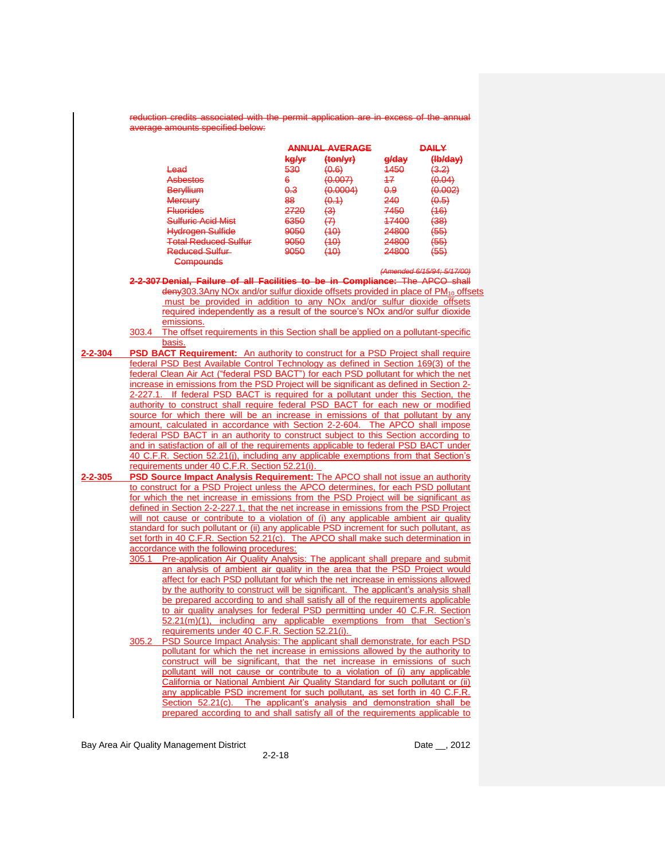|         |       | reduction credits associated with the permit application are in excess of the annual<br>average amounts specified below: |       |                                              |                  |                            |
|---------|-------|--------------------------------------------------------------------------------------------------------------------------|-------|----------------------------------------------|------------------|----------------------------|
|         |       |                                                                                                                          |       | <b>ANNUAL AVERAGE</b>                        |                  | <b>DAILY</b>               |
|         |       |                                                                                                                          | kg/yr | $\left(\frac{\text{ton}}{\text{ton}}\right)$ | <del>g/day</del> | (Hb/day)                   |
|         |       | Lead                                                                                                                     |       | (0.6)                                        |                  |                            |
|         |       |                                                                                                                          | 530   |                                              | 4450             | (3.2)                      |
|         |       | <b>Asbestos</b>                                                                                                          | 6     | (0.007)                                      | 47.              | (0.04)                     |
|         |       | <b>Beryllium</b>                                                                                                         | 0.3   | (0.0004)                                     | <del>0.9</del>   | (0.002)                    |
|         |       | <b>Mercury</b>                                                                                                           | 88    | (0.1)                                        | 240.             | (0.5)                      |
|         |       | <b>Fluorides</b>                                                                                                         | 2720  | $\leftrightarrow$                            | 7450             | (16)                       |
|         |       | <b>Sulfuric Acid Mist</b>                                                                                                | 6350  | $\leftrightarrow$                            | 47400            | (38)                       |
|         |       | <b>Hydrogen Sulfide</b>                                                                                                  | 9050  | (10)                                         | 24800            | $(55)$                     |
|         |       | <b>Total Reduced Sulfur</b>                                                                                              | 9050  | (10)                                         | 24800            | $(55)$                     |
|         |       | Reduced Sulfur-                                                                                                          | 9050  | (10)                                         | 24800            | (55)                       |
|         |       | <b>Compounds</b>                                                                                                         |       |                                              |                  |                            |
|         |       |                                                                                                                          |       |                                              |                  | (Amended 6/15/94; 5/17/00) |
|         |       | 2-2-307 Denial, Failure of all Facilities to be in Compliance: The APCO shall                                            |       |                                              |                  |                            |
|         |       | deny303.3Any NOx and/or sulfur dioxide offsets provided in place of PM <sub>10</sub> offsets                             |       |                                              |                  |                            |
|         |       | must be provided in addition to any NO <sub>x</sub> and/or sulfur dioxide offsets                                        |       |                                              |                  |                            |
|         |       | required independently as a result of the source's NOx and/or sulfur dioxide                                             |       |                                              |                  |                            |
|         |       | emissions.                                                                                                               |       |                                              |                  |                            |
|         |       | 303.4 The offset requirements in this Section shall be applied on a pollutant-specific                                   |       |                                              |                  |                            |
|         |       | basis.                                                                                                                   |       |                                              |                  |                            |
| 2-2-304 |       | <b>PSD BACT Requirement:</b> An authority to construct for a PSD Project shall require                                   |       |                                              |                  |                            |
|         |       | federal PSD Best Available Control Technology as defined in Section 169(3) of the                                        |       |                                              |                  |                            |
|         |       | federal Clean Air Act ("federal PSD BACT") for each PSD pollutant for which the net                                      |       |                                              |                  |                            |
|         |       | increase in emissions from the PSD Project will be significant as defined in Section 2-                                  |       |                                              |                  |                            |
|         |       | 2-227.1. If federal PSD BACT is required for a pollutant under this Section, the                                         |       |                                              |                  |                            |
|         |       | authority to construct shall require federal PSD BACT for each new or modified                                           |       |                                              |                  |                            |
|         |       |                                                                                                                          |       |                                              |                  |                            |
|         |       | source for which there will be an increase in emissions of that pollutant by any                                         |       |                                              |                  |                            |
|         |       | amount, calculated in accordance with Section 2-2-604. The APCO shall impose                                             |       |                                              |                  |                            |
|         |       | federal PSD BACT in an authority to construct subject to this Section according to                                       |       |                                              |                  |                            |
|         |       | and in satisfaction of all of the requirements applicable to federal PSD BACT under                                      |       |                                              |                  |                            |
|         |       | 40 C.F.R. Section 52.21(j), including any applicable exemptions from that Section's                                      |       |                                              |                  |                            |
|         |       | requirements under 40 C.F.R. Section 52.21(i).                                                                           |       |                                              |                  |                            |
| 2-2-305 |       | PSD Source Impact Analysis Requirement: The APCO shall not issue an authority                                            |       |                                              |                  |                            |
|         |       | to construct for a PSD Project unless the APCO determines, for each PSD pollutant                                        |       |                                              |                  |                            |
|         |       | for which the net increase in emissions from the PSD Project will be significant as                                      |       |                                              |                  |                            |
|         |       | defined in Section 2-2-227.1, that the net increase in emissions from the PSD Project                                    |       |                                              |                  |                            |
|         |       | will not cause or contribute to a violation of (i) any applicable ambient air quality                                    |       |                                              |                  |                            |
|         |       | standard for such pollutant or (ii) any applicable PSD increment for such pollutant, as                                  |       |                                              |                  |                            |
|         |       | set forth in 40 C.F.R. Section 52.21(c). The APCO shall make such determination in                                       |       |                                              |                  |                            |
|         |       | accordance with the following procedures:                                                                                |       |                                              |                  |                            |
|         | 305.1 | Pre-application Air Quality Analysis: The applicant shall prepare and submit                                             |       |                                              |                  |                            |
|         |       | an analysis of ambient air quality in the area that the PSD Project would                                                |       |                                              |                  |                            |
|         |       |                                                                                                                          |       |                                              |                  |                            |
|         |       | affect for each PSD pollutant for which the net increase in emissions allowed                                            |       |                                              |                  |                            |
|         |       | by the authority to construct will be significant. The applicant's analysis shall                                        |       |                                              |                  |                            |
|         |       | be prepared according to and shall satisfy all of the requirements applicable                                            |       |                                              |                  |                            |
|         |       | to air quality analyses for federal PSD permitting under 40 C.F.R. Section                                               |       |                                              |                  |                            |
|         |       | 52.21(m)(1), including any applicable exemptions from that Section's                                                     |       |                                              |                  |                            |
|         |       | requirements under 40 C.F.R. Section 52.21(i).                                                                           |       |                                              |                  |                            |
|         | 305.2 | PSD Source Impact Analysis: The applicant shall demonstrate, for each PSD                                                |       |                                              |                  |                            |
|         |       | pollutant for which the net increase in emissions allowed by the authority to                                            |       |                                              |                  |                            |
|         |       | construct will be significant, that the net increase in emissions of such                                                |       |                                              |                  |                            |
|         |       | pollutant will not cause or contribute to a violation of (i) any applicable                                              |       |                                              |                  |                            |
|         |       |                                                                                                                          |       |                                              |                  |                            |
|         |       | California or National Ambient Air Quality Standard for such pollutant or (ii)                                           |       |                                              |                  |                            |
|         |       | any applicable PSD increment for such pollutant, as set forth in 40 C.F.R.                                               |       |                                              |                  |                            |
|         |       | Section 52.21(c). The applicant's analysis and demonstration shall be                                                    |       |                                              |                  |                            |
|         |       | prepared according to and shall satisfy all of the requirements applicable to                                            |       |                                              |                  |                            |
|         |       |                                                                                                                          |       |                                              |                  |                            |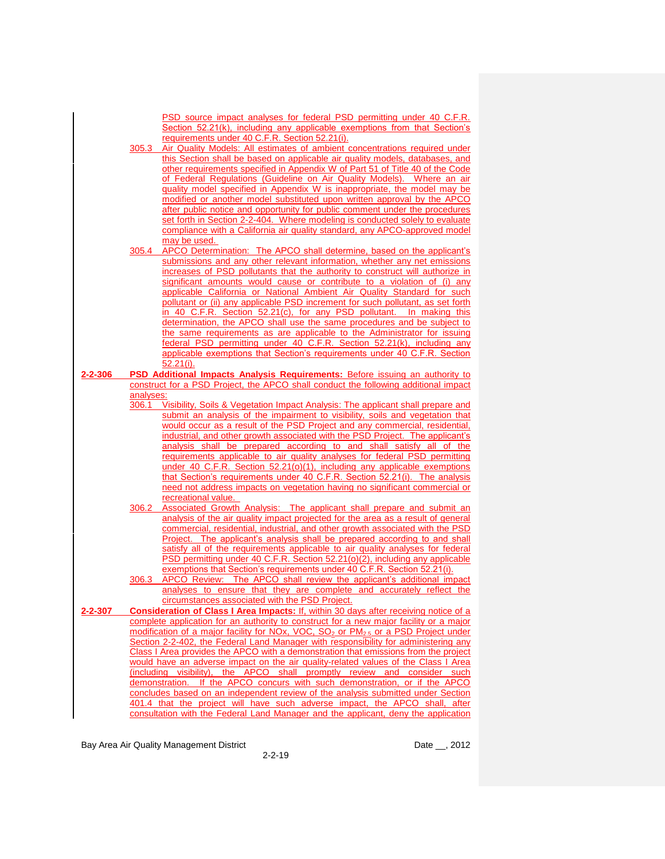|         |           | PSD source impact analyses for federal PSD permitting under 40 C.F.R.<br>Section 52.21(k), including any applicable exemptions from that Section's                |
|---------|-----------|-------------------------------------------------------------------------------------------------------------------------------------------------------------------|
|         |           | requirements under 40 C.F.R. Section 52.21(i).                                                                                                                    |
|         | 305.3     | Air Quality Models: All estimates of ambient concentrations required under                                                                                        |
|         |           | this Section shall be based on applicable air quality models, databases, and                                                                                      |
|         |           | other requirements specified in Appendix W of Part 51 of Title 40 of the Code                                                                                     |
|         |           | of Federal Regulations (Guideline on Air Quality Models). Where an air                                                                                            |
|         |           | quality model specified in Appendix W is inappropriate, the model may be<br>modified or another model substituted upon written approval by the APCO               |
|         |           | after public notice and opportunity for public comment under the procedures                                                                                       |
|         |           | set forth in Section 2-2-404. Where modeling is conducted solely to evaluate                                                                                      |
|         |           | compliance with a California air quality standard, any APCO-approved model                                                                                        |
|         |           | may be used.                                                                                                                                                      |
|         | 305.4     | APCO Determination: The APCO shall determine, based on the applicant's                                                                                            |
|         |           | submissions and any other relevant information, whether any net emissions                                                                                         |
|         |           | increases of PSD pollutants that the authority to construct will authorize in<br>significant amounts would cause or contribute to a violation of (i) any          |
|         |           | applicable California or National Ambient Air Quality Standard for such                                                                                           |
|         |           | pollutant or (ii) any applicable PSD increment for such pollutant, as set forth                                                                                   |
|         |           | in 40 C.F.R. Section 52.21(c), for any PSD pollutant. In making this                                                                                              |
|         |           | determination, the APCO shall use the same procedures and be subject to                                                                                           |
|         |           | the same requirements as are applicable to the Administrator for issuing                                                                                          |
|         |           | federal PSD permitting under 40 C.F.R. Section 52.21(k), including any                                                                                            |
|         |           | applicable exemptions that Section's requirements under 40 C.F.R. Section<br>52.21(i).                                                                            |
| 2-2-306 |           | <b>PSD Additional Impacts Analysis Requirements: Before issuing an authority to</b>                                                                               |
|         |           | construct for a PSD Project, the APCO shall conduct the following additional impact                                                                               |
|         | analyses: |                                                                                                                                                                   |
|         | 306.1     | Visibility, Soils & Vegetation Impact Analysis: The applicant shall prepare and                                                                                   |
|         |           | submit an analysis of the impairment to visibility, soils and vegetation that<br>would occur as a result of the PSD Project and any commercial, residential,      |
|         |           | industrial, and other growth associated with the PSD Project. The applicant's                                                                                     |
|         |           | analysis shall be prepared according to and shall satisfy all of the                                                                                              |
|         |           | requirements applicable to air quality analyses for federal PSD permitting                                                                                        |
|         |           | under 40 C.F.R. Section 52.21(o)(1), including any applicable exemptions                                                                                          |
|         |           |                                                                                                                                                                   |
|         |           | that Section's requirements under 40 C.F.R. Section 52.21(i). The analysis                                                                                        |
|         |           | need not address impacts on vegetation having no significant commercial or                                                                                        |
|         |           | recreational value.                                                                                                                                               |
|         | 306.2     | Associated Growth Analysis: The applicant shall prepare and submit an                                                                                             |
|         |           | analysis of the air quality impact projected for the area as a result of general<br>commercial, residential, industrial, and other growth associated with the PSD |
|         |           | Project. The applicant's analysis shall be prepared according to and shall                                                                                        |
|         |           | satisfy all of the requirements applicable to air quality analyses for federal                                                                                    |
|         |           | PSD permitting under 40 C.F.R. Section 52.21(o)(2), including any applicable                                                                                      |
|         |           | exemptions that Section's requirements under 40 C.F.R. Section 52.21(i).                                                                                          |
|         | 306.3     | APCO Review: The APCO shall review the applicant's additional impact                                                                                              |
|         |           | analyses to ensure that they are complete and accurately reflect the                                                                                              |
| 2-2-307 |           | circumstances associated with the PSD Project.<br><b>Consideration of Class I Area Impacts: If, within 30 days after receiving notice of a</b>                    |
|         |           | complete application for an authority to construct for a new major facility or a major                                                                            |
|         |           | modification of a major facility for NOx, VOC, SO <sub>2</sub> or PM <sub>2.5</sub> or a PSD Project under                                                        |
|         |           | Section 2-2-402, the Federal Land Manager with responsibility for administering any                                                                               |
|         |           | Class I Area provides the APCO with a demonstration that emissions from the project                                                                               |
|         |           | would have an adverse impact on the air quality-related values of the Class I Area                                                                                |
|         |           | (including visibility), the APCO shall promptly review and consider such                                                                                          |
|         |           | demonstration. If the APCO concurs with such demonstration, or if the APCO<br>concludes based on an independent review of the analysis submitted under Section    |
|         |           | 401.4 that the project will have such adverse impact, the APCO shall, after<br>consultation with the Federal Land Manager and the applicant, deny the application |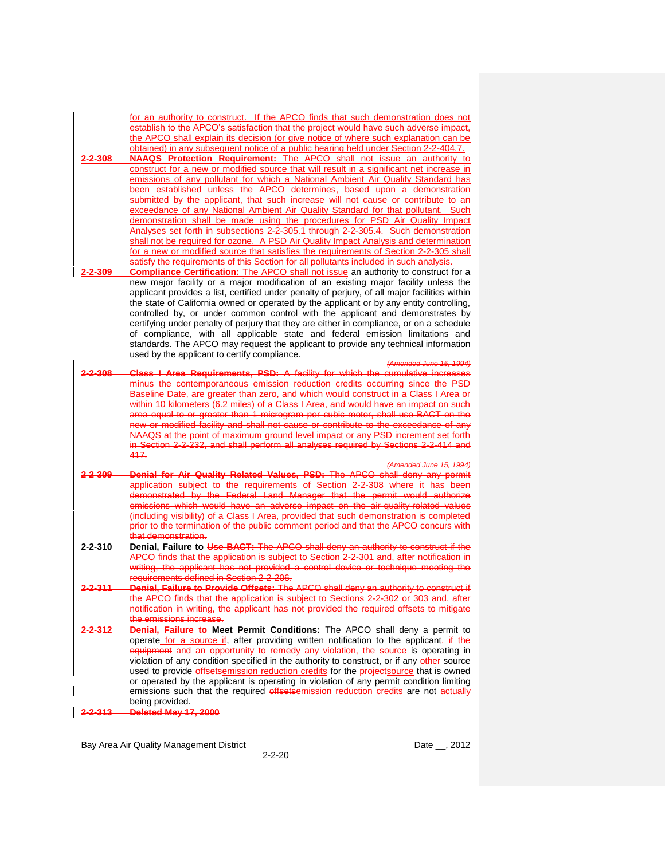for an authority to construct. If the APCO finds that such demonstration does not establish to the APCO's satisfaction that the project would have such adverse impact, the APCO shall explain its decision (or give notice of where such explanation can be obtained) in any subsequent notice of a public hearing held under Section 2-2-404.7.

- **2-2-308 NAAQS Protection Requirement:** The APCO shall not issue an authority to construct for a new or modified source that will result in a significant net increase in emissions of any pollutant for which a National Ambient Air Quality Standard has been established unless the APCO determines, based upon a demonstration submitted by the applicant, that such increase will not cause or contribute to an exceedance of any National Ambient Air Quality Standard for that pollutant. Such demonstration shall be made using the procedures for PSD Air Quality Impact Analyses set forth in subsections 2-2-305.1 through 2-2-305.4. Such demonstration shall not be required for ozone. A PSD Air Quality Impact Analysis and determination for a new or modified source that satisfies the requirements of Section 2-2-305 shall satisfy the requirements of this Section for all pollutants included in such analysis.
- **2-2-309 Compliance Certification:** The APCO shall not issue an authority to construct for a new major facility or a major modification of an existing major facility unless the applicant provides a list, certified under penalty of perjury, of all major facilities within the state of California owned or operated by the applicant or by any entity controlling, controlled by, or under common control with the applicant and demonstrates by certifying under penalty of perjury that they are either in compliance, or on a schedule of compliance, with all applicable state and federal emission limitations and standards. The APCO may request the applicant to provide any technical information used by the applicant to certify compliance.

#### *(Amended June 15, 1994)*

- **2-2-308 Class I Area Requirements, PSD:** A facility for which the cumulative increases minus the contemporaneous emission reduction credits occurring since the PSD Baseline Date, are greater than zero, and which would construct in a Class I Area or within 10 kilometers (6.2 miles) of a Class I Area, and would have an impact on such area equal to or greater than 1 microgram per cubic meter, shall use BACT on the w or modified facility and shall not cause or contribute to the exceedance of any NAAQS at the point of maximum ground level impact or any PSD increment set forth in Section 2-2-232, and shall perform all analyses required by Sections 2-2-414 and 417.
- *(Amended June 15, 1994)* **2-2-309 Denial for Air Quality Related Values, PSD:** The APCO shall deny any permit application subject to the requirements of Section 2-2-308 where it has been demonstrated by the Federal Land Manager that the permit would authorize emissions which would have an adverse impact on the air-quality-related values (including visibility) of a Class I Area, provided that such demonstration is completed prior to the termination of the public comment period and that the APCO concurs with that demonstration.
- **2-2-310 Denial, Failure to Use BACT:** The APCO shall deny an authority to construct if the APCO finds that the application is subject to Section 2-2-301 and, after notification in writing, the applicant has not provided a control device or technique meeting the requirements defined in Section 2-2-206.
- **2-2-311 Denial, Failure to Provide Offsets:** The APCO shall deny an authority to construct if the APCO finds that the application is subject to Sections 2-2-302 or 303 and, after notification in writing, the applicant has not provided the required offsets the emissions increase.
- **2-2-312 Denial, Failure to Meet Permit Conditions:** The APCO shall deny a permit to operate for a source if, after providing written notification to the applicant, if the equipment and an opportunity to remedy any violation, the source is operating in violation of any condition specified in the authority to construct, or if any other source used to provide offsetsemission reduction credits for the projectsource that is owned or operated by the applicant is operating in violation of any permit condition limiting emissions such that the required offsetsemission reduction credits are not actually being provided.
- **2-2-313 Deleted May 17, 2000**

Bay Area Air Quality Management District **Date Leap and Alexander Control** Date Leap 2012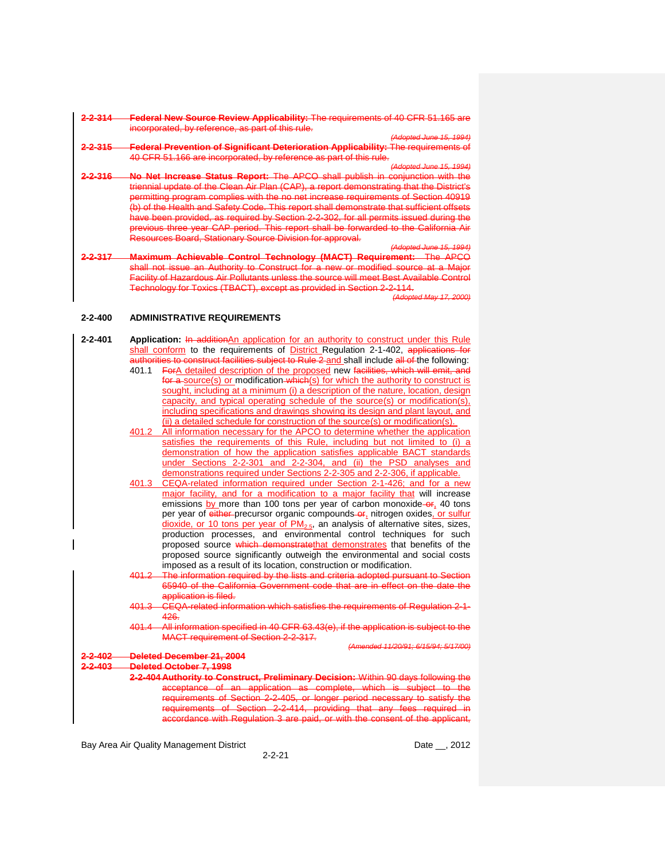#### **2-2-314 Federal New Source Review Applicability:** The requirements of 40 CFR 51.165 are incorporated, by reference, as part of this rule.

*(Adopted June 15, 1994)* **2-2-315 Federal Prevention of Significant Deterioration Applicability:** The requirements of 40 CFR 51.166 are incorporated, by reference as part of this rule.

*(Adopted June 15, 1994)*

- **2-2-316 No Net Increase Status Report:** The APCO shall publish in conjunction with the triennial update of the Clean Air Plan (CAP), a report demonstrating that the District's permitting program complies with the no net increase requirements of Section 40919 (b) of the Health and Safety Code. This report shall demonstrate that sufficient offsets have been provided, as required by Section 2-2-302, for all permits issued during the previous three year CAP period. This report shall be forwarded to the California Air Resources Board, Stationary Source Division for approval.
- **2-2-317 Maximum Achievable Control Technology (MACT) Requirement:** The APCO shall not issue an Authority to Construct for a new or modified source at a Major Facility of Hazardous Air Pollutants unless the source will meet Best Available Control<br>Technology for Toxics (TBACT), except as provided in Section 2-2-114. except as provided in Section 2-2-114.

*(Adopted May 17, 2000)*

*(Adopted June 15, 1994)*

## **2-2-400 ADMINISTRATIVE REQUIREMENTS**

- **2-2-401 Application:** In additionAn application for an authority to construct under this Rule shall conform to the requirements of District Regulation 2-1-402, applications for to construct facilities subject to Rule 2 and shall include all of the following:
	- 401.1 ForA detailed description of the proposed new facilities, which will emit, and for a source(s) or modification which(s) for which the authority to construct is sought, including at a minimum (i) a description of the nature, location, design capacity, and typical operating schedule of the source(s) or modification(s), including specifications and drawings showing its design and plant layout, and  $(iii)$  a detailed schedule for construction of the source(s) or modification(s).
	- 401.2 All information necessary for the APCO to determine whether the application satisfies the requirements of this Rule, including but not limited to (i) a demonstration of how the application satisfies applicable BACT standards under Sections 2-2-301 and 2-2-304, and (ii) the PSD analyses and demonstrations required under Sections 2-2-305 and 2-2-306, if applicable.
	- 401.3 CEQA-related information required under Section 2-1-426; and for a new major facility, and for a modification to a major facility that will increase emissions by more than 100 tons per year of carbon monoxide-or, 40 tons per year of either-precursor organic compounds-or, nitrogen oxides, or sulfur dioxide, or 10 tons per year of  $PM_{2.5}$ , an analysis of alternative sites, sizes, production processes, and environmental control techniques for such proposed source which demonstratethat demonstrates that benefits of the proposed source significantly outweigh the environmental and social costs imposed as a result of its location, construction or modification.
		- 401.2 The information required by the lists and criteria adopted pursuant to Section Government code that are in effect on the application is filed.
		- 401.3 CEQA-related information which satisfies the requirements of Regulation 2-1- 426.
		- 401.4 All information specified in 40 CFR 63.43(e), if the application is subject to the MACT requirement of Section 2-2-317.

*(Amended 11/20/91; 6/15/94; 5/17/00)*

**2-2-402 Deleted December 21, 2004**

**2-2-403 Deleted October 7, 1998**

**2-2-404 Authority to Construct, Preliminary Decision:** Within 90 days following the acceptance of an application as complete, which is subject to the requirements of Section 2-2-405, or longer period necessary to satisfy the requirements of Section 2-2-414, providing that any fees required in accordance with Regulation 3 are paid, or with the consent of the applicant,

Bay Area Air Quality Management District **Date Leap and Alexander Control** Date Leap 2012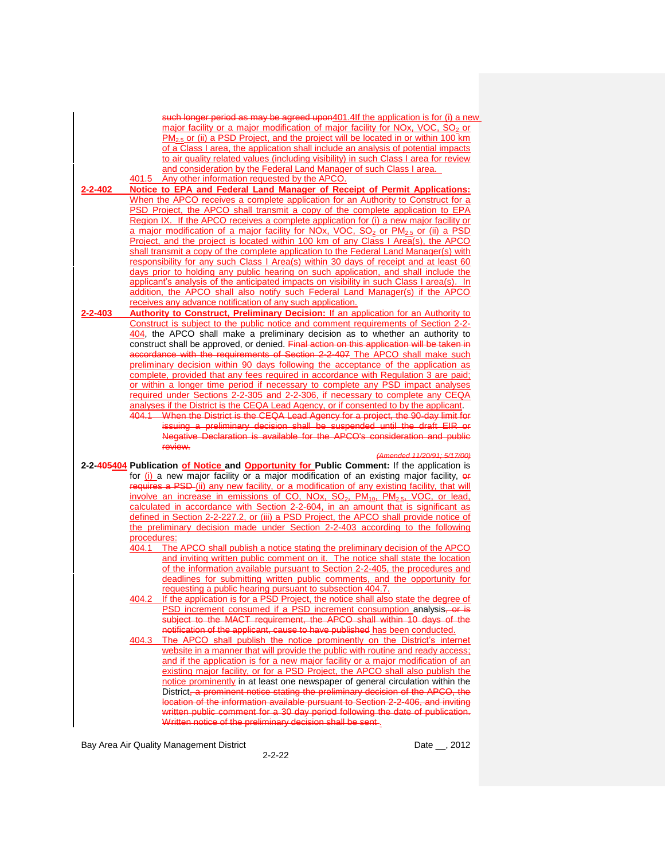|         | such longer period as may be agreed upon401.4If the application is for (i) a new                                                                                                                          |
|---------|-----------------------------------------------------------------------------------------------------------------------------------------------------------------------------------------------------------|
|         | major facility or a major modification of major facility for NOx, VOC, $SO2$ or                                                                                                                           |
|         | $PM_{2.5}$ or (ii) a PSD Project, and the project will be located in or within 100 km                                                                                                                     |
|         | of a Class I area, the application shall include an analysis of potential impacts                                                                                                                         |
|         | to air quality related values (including visibility) in such Class I area for review                                                                                                                      |
|         | and consideration by the Federal Land Manager of such Class I area.                                                                                                                                       |
|         | 401.5 Any other information requested by the APCO.                                                                                                                                                        |
| 2-2-402 | Notice to EPA and Federal Land Manager of Receipt of Permit Applications:                                                                                                                                 |
|         | When the APCO receives a complete application for an Authority to Construct for a<br>PSD Project, the APCO shall transmit a copy of the complete application to EPA                                       |
|         | Region IX. If the APCO receives a complete application for (i) a new major facility or                                                                                                                    |
|         | a major modification of a major facility for NOx, VOC, SO <sub>2</sub> or PM <sub>2.5</sub> or (ii) a PSD                                                                                                 |
|         | Project, and the project is located within 100 km of any Class I Area(s), the APCO                                                                                                                        |
|         | shall transmit a copy of the complete application to the Federal Land Manager(s) with                                                                                                                     |
|         | responsibility for any such Class I Area(s) within 30 days of receipt and at least 60                                                                                                                     |
|         | days prior to holding any public hearing on such application, and shall include the                                                                                                                       |
|         | applicant's analysis of the anticipated impacts on visibility in such Class I area(s). In                                                                                                                 |
|         | addition, the APCO shall also notify such Federal Land Manager(s) if the APCO                                                                                                                             |
|         | receives any advance notification of any such application.                                                                                                                                                |
| 2-2-403 | <b>Authority to Construct, Preliminary Decision: If an application for an Authority to</b>                                                                                                                |
|         | Construct is subject to the public notice and comment requirements of Section 2-2-                                                                                                                        |
|         | 404, the APCO shall make a preliminary decision as to whether an authority to                                                                                                                             |
|         | construct shall be approved, or denied. Final action on this application will be taken in                                                                                                                 |
|         | accordance with the requirements of Section 2-2-407 The APCO shall make such<br>preliminary decision within 90 days following the acceptance of the application as                                        |
|         | complete, provided that any fees required in accordance with Regulation 3 are paid;                                                                                                                       |
|         | or within a longer time period if necessary to complete any PSD impact analyses                                                                                                                           |
|         | required under Sections 2-2-305 and 2-2-306, if necessary to complete any CEQA                                                                                                                            |
|         | analyses if the District is the CEQA Lead Agency, or if consented to by the applicant.                                                                                                                    |
|         | 404.1 When the District is the CEQA Lead Agency for a project, the 90-day limit for                                                                                                                       |
|         |                                                                                                                                                                                                           |
|         | issuing a preliminary decision shall be suspended until the draft EIR or                                                                                                                                  |
|         | Negative Declaration is available for the APCO's consideration and public                                                                                                                                 |
|         | review.                                                                                                                                                                                                   |
|         | (Amended 11/20/91; 5/17/00)                                                                                                                                                                               |
|         | 2-2-405404 Publication of Notice and Opportunity for Public Comment: If the application is                                                                                                                |
|         | for (i) a new major facility or a major modification of an existing major facility, or                                                                                                                    |
|         | requires a PSD-(ii) any new facility, or a modification of any existing facility, that will                                                                                                               |
|         | involve an increase in emissions of CO, NOx, SO <sub>2</sub> , PM <sub>10</sub> , PM <sub>2.5</sub> , VOC, or lead,<br>calculated in accordance with Section 2-2-604, in an amount that is significant as |
|         | defined in Section 2-2-227.2, or (iii) a PSD Project, the APCO shall provide notice of                                                                                                                    |
|         | the preliminary decision made under Section 2-2-403 according to the following                                                                                                                            |
|         | procedures:                                                                                                                                                                                               |
|         | 404.1<br>The APCO shall publish a notice stating the preliminary decision of the APCO                                                                                                                     |
|         | and inviting written public comment on it. The notice shall state the location                                                                                                                            |
|         | of the information available pursuant to Section 2-2-405, the procedures and                                                                                                                              |
|         | deadlines for submitting written public comments, and the opportunity for                                                                                                                                 |
|         | requesting a public hearing pursuant to subsection 404.7.                                                                                                                                                 |
|         | 404.2 If the application is for a PSD Project, the notice shall also state the degree of<br>PSD increment consumed if a PSD increment consumption analysis, or is                                         |
|         | subject to the MACT requirement, the APCO shall within 10 days of the                                                                                                                                     |
|         | notification of the applicant, cause to have published has been conducted.                                                                                                                                |
|         | The APCO shall publish the notice prominently on the District's internet<br>404.3                                                                                                                         |
|         | website in a manner that will provide the public with routine and ready access;                                                                                                                           |
|         | and if the application is for a new major facility or a major modification of an                                                                                                                          |
|         | existing major facility, or for a PSD Project, the APCO shall also publish the                                                                                                                            |
|         | notice prominently in at least one newspaper of general circulation within the                                                                                                                            |
|         | District <del>, a prominent notice stating the preliminary decision of the APCO, the</del>                                                                                                                |
|         | location of the information available pursuant to Section 2-2-406, and inviting                                                                                                                           |
|         | written public comment for a 30 day period following the date of publication.<br>Written notice of the preliminary decision shall be sent.                                                                |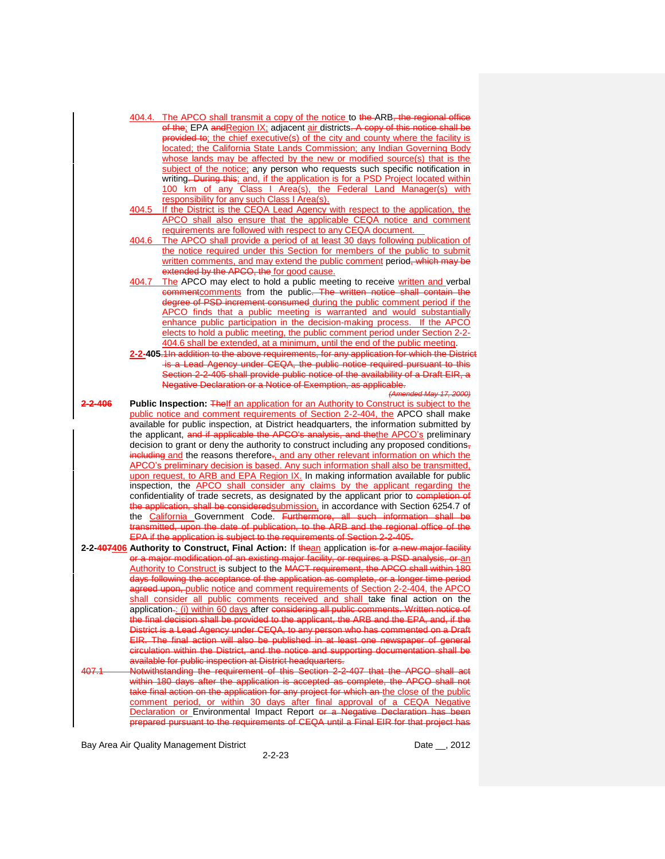- 404.4. The APCO shall transmit a copy of the notice to the ARB, the regional office of the; EPA andRegion IX; adjacent air districts. A copy of this notice shall be provided to; the chief executive(s) of the city and county where the facility is located; the California State Lands Commission; any Indian Governing Body whose lands may be affected by the new or modified source(s) that is the subject of the notice; any person who requests such specific notification in writing. During this; and, if the application is for a PSD Project located within 100 km of any Class I Area(s), the Federal Land Manager(s) with responsibility for any such Class I Area(s).
- 404.5 If the District is the CEQA Lead Agency with respect to the application, the APCO shall also ensure that the applicable CEQA notice and comment requirements are followed with respect to any CEQA document.
- 404.6 The APCO shall provide a period of at least 30 days following publication of the notice required under this Section for members of the public to submit written comments, and may extend the public comment period, which may be extended by the APCO, the for good cause.
- 404.7 The APCO may elect to hold a public meeting to receive written and verbal commentcomments from the public. The written notice shall contain the degree of PSD increment consumed during the public comment period if the APCO finds that a public meeting is warranted and would substantially enhance public participation in the decision-making process. If the APCO elects to hold a public meeting, the public comment period under Section 2-2- 404.6 shall be extended, at a minimum, until the end of the public meeting.
- **2-2-405**.1In addition to the above requirements, for any application for which the District is a Lead Agency under CEQA, the public notice required pursuant to this Section 2-2-405 shall provide public notice of the availability of a Draft EIR, a Negative Declaration or a Notice of Exemption, as applicable.

*(Amended May 17, 2000)*

- **2-2-406 Public Inspection:** TheIf an application for an Authority to Construct is subject to the public notice and comment requirements of Section 2-2-404, the APCO shall make available for public inspection, at District headquarters, the information submitted by the applicant, and if applicable the APCO's analysis, and thethe APCO's preliminary decision to grant or deny the authority to construct including any proposed conditions, including and the reasons therefore., and any other relevant information on which the APCO's preliminary decision is based. Any such information shall also be transmitted, upon request, to ARB and EPA Region IX. In making information available for public inspection, the APCO shall consider any claims by the applicant regarding the confidentiality of trade secrets, as designated by the applicant prior to completion of the application, shall be consideredsubmission, in accordance with Section 6254.7 of the California Government Code. Furthermore, all such information shall be transmitted, upon the date of publication, to the ARB and the regional office of the EPA if the application is subject to the requirements of Section 2-2-405.
- **2-2-407406 Authority to Construct, Final Action:** If thean application is for a new major facility or a major modification of an existing major facility, or requires a PSD analysis, or an Authority to Construct is subject to the MACT requirement, the APCO shall within 180 days following the acceptance of the application as complete, or a longer time period agreed upon, public notice and comment requirements of Section 2-2-404, the APCO shall consider all public comments received and shall take final action on the application-: (i) within 60 days after considering all public comments. Written notice of the final decision shall be provided to the applicant, the ARB and the EPA, and, if the District is a Lead Agency under CEQA, to any person who has commented on a Draft EIR. The final action will also be published in at least one newspaper of general circulation within the District, and the notice and supporting documentation shall be available for public inspection at District headquarters.
- 407.1 Notwithstanding the requirement of this Section 2-2-407 that the APCO shall act within 180 days after the application is accepted as complete, the APCO shall not take final action on the application for any project for which an the close of the public comment period, or within 30 days after final approval of a CEQA Negative Declaration or Environmental Impact Report or a Negative Declaration has been **prepared pursuant to the requirements of CEQA until a Final EIR for that project has**

Bay Area Air Quality Management District **Date District** Date \_\_, 2012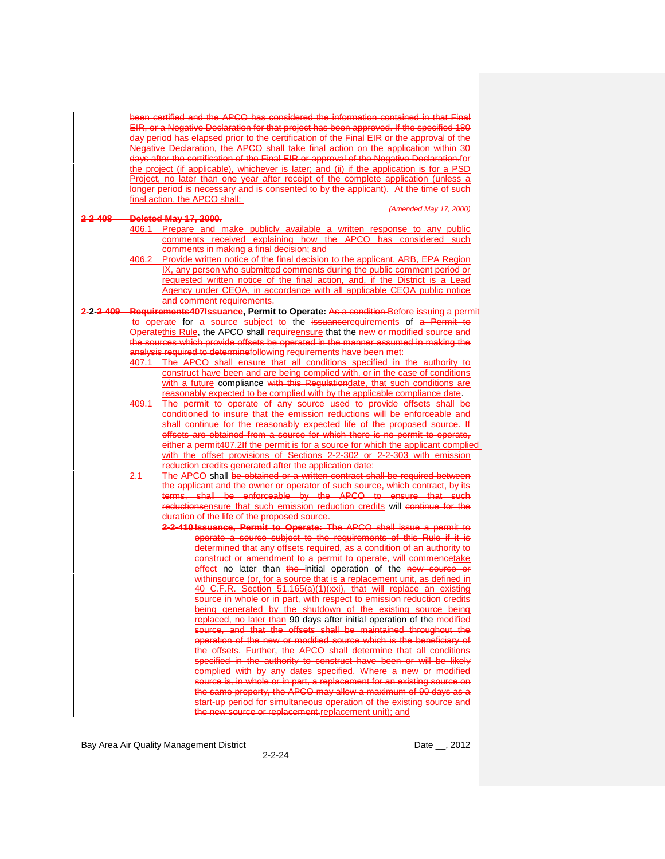certified and the APCO has considered the information contained in that Final EIR, or a Negative Declaration for that project has been approved. If the specified 180 day period has elapsed prior to the certification of the Final EIR or the approval of the Negative Declaration, the APCO shall take final action on the application within 30 days after the certification of the Final EIR or approval of the Negative Declaration.for the project (if applicable), whichever is later; and (ii) if the application is for a PSD Project, no later than one year after receipt of the complete application (unless a longer period is necessary and is consented to by the applicant). At the time of such final action, the APCO shall:

#### *(Amended May 17, 2000)*

#### **2-2-408 Deleted May 17, 2000.**

- 406.1 Prepare and make publicly available a written response to any public comments received explaining how the APCO has considered such comments in making a final decision; and
	- 406.2 Provide written notice of the final decision to the applicant, ARB, EPA Region IX, any person who submitted comments during the public comment period or requested written notice of the final action, and, if the District is a Lead Agency under CEQA, in accordance with all applicable CEQA public notice and comment requirements.
- **2-2-2-409 Requirements407Issuance, Permit to Operate:** As a condition Before issuing a permit to operate for a source subject to the issuancerequirements of a Permit to Operatethis Rule, the APCO shall requireensure that the new or modified source and the sources which provide offsets be operated in the manner assumed in making the analysis required to determinefollowing requirements have been met:
	- 407.1 The APCO shall ensure that all conditions specified in the authority to construct have been and are being complied with, or in the case of conditions with a future compliance with this Regulationdate, that such conditions are reasonably expected to be complied with by the applicable compliance date.
	- 409.1 The permit to operate of any source used to provide offsets shall be conditioned to insure that the emission reductions will be enforceable and shall continue for the reasonably expected life of the proposed source. If offsets are obtained from a source for which there is no permit to operate, either a permit407.2If the permit is for a source for which the applicant complied with the offset provisions of Sections 2-2-302 or 2-2-303 with emission reduction credits generated after the application date:
	- 2.1 The APCO shall be obtained or a written contract shall be required between the applicant and the owner or operator of such source, which contract, by its terms, shall be enforceable by the APCO to ensure that such reductionsensure that such emission reduction credits will continue for the duration of the life of the proposed source.
		- **2-2-410 Issuance, Permit to Operate:** The APCO shall issue a permit to operate a source subject to the requirements of this Rule if it is determined that any offsets required, as a condition of an authority to construct or amendment to a permit to operate, will commencetake effect no later than the initial operation of the new source or withinsource (or, for a source that is a replacement unit, as defined in 40 C.F.R. Section 51.165(a)(1)(xxi), that will replace an existing source in whole or in part, with respect to emission reduction credits being generated by the shutdown of the existing source being replaced, no later than 90 days after initial operation of the modified source, and that the offsets shall be maintained throughout the operation of the new or modified source which is the beneficiary of the offsets. Further, the APCO shall determine that all conditions specified in the authority to construct have been or will be likely complied with by any dates specified. Where a new or modified source is, in whole or in part, a replacement for an existing source on the same property, the APCO may allow a maximum of 90 days as a start-up period for simultaneous operation of the existing source and ource or replacement-replacement unit); and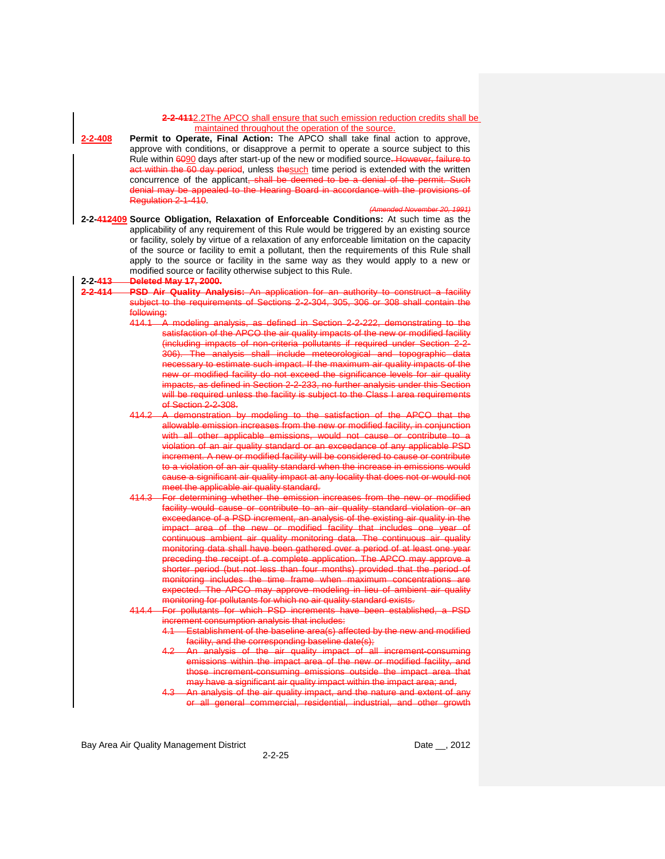|                      | 2-2-4112.2The APCO shall ensure that such emission reduction credits shall be                                                                                                                                                                                                                                                                                                                                                      |
|----------------------|------------------------------------------------------------------------------------------------------------------------------------------------------------------------------------------------------------------------------------------------------------------------------------------------------------------------------------------------------------------------------------------------------------------------------------|
| 2-2-408              | maintained throughout the operation of the source.<br>Permit to Operate, Final Action: The APCO shall take final action to approve,<br>approve with conditions, or disapprove a permit to operate a source subject to this                                                                                                                                                                                                         |
|                      | Rule within 6090 days after start-up of the new or modified source. However, failure to                                                                                                                                                                                                                                                                                                                                            |
|                      | act within the 60 day period, unless thesuch time period is extended with the written<br>concurrence of the applicant, shall be deemed to be a denial of the permit. Such                                                                                                                                                                                                                                                          |
|                      | denial may be appealed to the Hearing Board in accordance with the provisions of<br>Regulation 2-1-410.                                                                                                                                                                                                                                                                                                                            |
|                      | (Amended November 20, 1991)<br>2-2-412409 Source Obligation, Relaxation of Enforceable Conditions: At such time as the                                                                                                                                                                                                                                                                                                             |
|                      | applicability of any requirement of this Rule would be triggered by an existing source<br>or facility, solely by virtue of a relaxation of any enforceable limitation on the capacity<br>of the source or facility to emit a pollutant, then the requirements of this Rule shall<br>apply to the source or facility in the same way as they would apply to a new or<br>modified source or facility otherwise subject to this Rule. |
| 2-2- <del>413-</del> | <b>Deleted May 17, 2000.</b>                                                                                                                                                                                                                                                                                                                                                                                                       |
| <del>2-2-414</del>   | PSD Air Quality Analysis: An application for an authority to construct a facility<br>subject to the requirements of Sections 2-2-304, 305, 306 or 308 shall contain the<br>following:                                                                                                                                                                                                                                              |
|                      | 414.1 A modeling analysis, as defined in Section 2-2-222, demonstrating to the<br>satisfaction of the APCO the air quality impacts of the new or modified facility                                                                                                                                                                                                                                                                 |
|                      | (including impacts of non-criteria pollutants if required under Section 2-2-<br>306). The analysis shall include meteorological and topographic data                                                                                                                                                                                                                                                                               |
|                      | necessary to estimate such impact. If the maximum air quality impacts of the                                                                                                                                                                                                                                                                                                                                                       |
|                      | new or modified facility do not exceed the significance levels for air quality<br>impacts, as defined in Section 2-2-233, no further analysis under this Section<br>will be required unless the facility is subject to the Class I area requirements                                                                                                                                                                               |
|                      | of Section 2-2-308.                                                                                                                                                                                                                                                                                                                                                                                                                |
|                      | 414.2 A demonstration by modeling to the satisfaction of the APCO that the<br>allowable emission increases from the new or modified facility, in conjunction<br>with all other applicable emissions, would not cause or contribute to a                                                                                                                                                                                            |
|                      | violation of an air quality standard or an exceedance of any applicable PSD                                                                                                                                                                                                                                                                                                                                                        |
|                      | increment. A new or modified facility will be considered to cause or contribute<br>to a violation of an air quality standard when the increase in emissions would                                                                                                                                                                                                                                                                  |
|                      | cause a significant air quality impact at any locality that does not or would not<br>meet the applicable air quality standard.                                                                                                                                                                                                                                                                                                     |
|                      | 414.3 For determining whether the emission increases from the new or modified                                                                                                                                                                                                                                                                                                                                                      |
|                      | facility would cause or contribute to an air quality standard violation or an<br>exceedance of a PSD increment, an analysis of the existing air quality in the                                                                                                                                                                                                                                                                     |
|                      | impact area of the new or modified facility that includes one year of<br>continuous ambient air quality monitoring data. The continuous air quality                                                                                                                                                                                                                                                                                |
|                      | monitoring data shall have been gathered over a period of at least one year<br>preceding the receipt of a complete application. The APCO may approve a                                                                                                                                                                                                                                                                             |
|                      | shorter period (but not less than four months) provided that the period of<br>monitoring includes the time frame when maximum concentrations are                                                                                                                                                                                                                                                                                   |
|                      | expected. The APCO may approve modeling in lieu of ambient air quality<br>monitoring for pollutants for which no air quality standard exists.                                                                                                                                                                                                                                                                                      |
|                      | 414.4 For pollutants for which PSD increments have been established, a PSD                                                                                                                                                                                                                                                                                                                                                         |
|                      | increment consumption analysis that includes:<br>4.1 Establishment of the baseline area(s) affected by the new and modified                                                                                                                                                                                                                                                                                                        |
|                      | facility, and the corresponding baseline date(s);<br>4.2 An analysis of the air quality impact of all increment-consuming<br>emissions within the impact area of the new or modified facility, and                                                                                                                                                                                                                                 |
|                      | those increment-consuming emissions outside the impact area that<br>may have a significant air quality impact within the impact area; and,                                                                                                                                                                                                                                                                                         |
|                      | 4.3 An analysis of the air quality impact, and the nature and extent of any<br>or all general commercial, residential, industrial, and other growth                                                                                                                                                                                                                                                                                |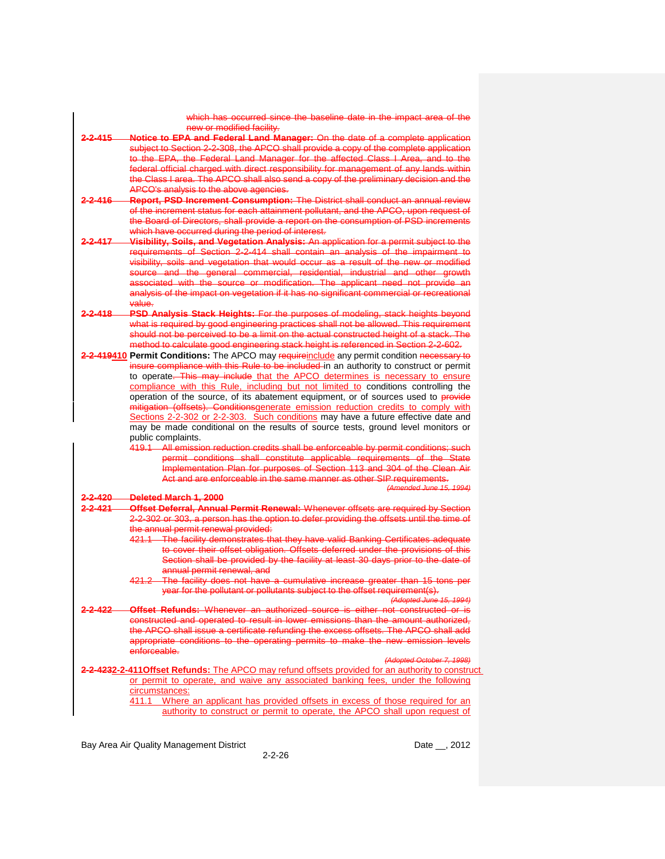new or modified facility. **2-2-415 Notice to EPA and Federal Land Manager:** On the date of a complete application subject to Section 2-2-308, the APCO shall provide a copy of the complete application to the EPA, the Federal Land Manager for the affected Class I Area, and to the federal official charged with direct responsibility for management of any lands within the Class I area. The APCO shall also send a copy of the preliminary decision and the

which has occurred since the baseline date in the impact area of the

- APCO's analysis to the above agencies. **2-2-416 Report, PSD Increment Consumption:** The District shall conduct an annual review of the increment status for each attainment pollutant, and the APCO, upon request of the Board of Directors, shall provide a report on the consumption of PSD increments
- which have occurred during the period of interest. **2-2-417 Visibility, Soils, and Vegetation Analysis:** An application for a permit subject to the requirements of Section 2-2-414 shall contain an analysis of the impairment to visibility, soils and vegetation that would occur as a result of the new or modified source and the general commercial, residential, industrial and other growth associated with the source or modification. The applicant need not provide<br>analysis of the impact on vegetation if it has no significant commercial or recreatio analysis of the impact on vegetation if it has no significant value.
- **2-2-418 PSD Analysis Stack Heights:** For the purposes of modeling, stack heights beyond what is required by good engineering practices shall not be allowed. This requirement should not be perceived to be a limit on the actual constructed height of a stack. The method to calculate good engineering stack height is referenced in Section 2-2-602.
- 2-2-419410 **Permit Conditions:** The APCO may requireinclude any permit condition necessary to insure compliance with this Rule to be included in an authority to construct or permit to operate. This may include that the APCO determines is necessary to ensure compliance with this Rule, including but not limited to conditions controlling the operation of the source, of its abatement equipment, or of sources used to provide mitigation (offsets). Conditionsgenerate emission reduction credits to comply with Sections 2-2-302 or 2-2-303. Such conditions may have a future effective date and may be made conditional on the results of source tests, ground level monitors or public complaints.
	- All emission reduction credits shall be enforceable by permit conditions permit conditions shall constitute applicable requirements of the State Implementation Plan for purposes of Section 113 and 304 of the Clean Air Act and are enforceable in the same manner as other SIP requirements.

*(Amended June 15, 1994)*

#### **2-2-420 Deleted March 1, 2000**

- **2-2-421 Offset Deferral, Annual Permit Renewal:** Whenever offsets are required by Section 2-2-302 or 303, a person has the option to defer providing the offsets until the time of the annual permit renewal provided:
	- 421.1 The facility demonstrates that they have valid Banking Certificates adequate to cover their offset obligation. Offsets deferred under the provisions of this Section shall be provided by the facility at least 30 days prior to the date of annual permit renewal, and
	- 421.2 The facility does not have a cumulative increase greater than 15 tons per year for the pollutant or pollutants subject to the offset requirement(s).

*(Adopted June 15, 1994)*

**2-2-422 Offset Refunds:** Whenever an authorized source is either not constructed or is constructed and operated to result in lower emissions than the amount authorized, the APCO shall issue a certificate refunding the excess offsets. The APCO shall add appropriate conditions to the operating permits to make the new emission levels enforceable.

*(Adopted October 7, 1998)*

**2-2-4232-2-411Offset Refunds:** The APCO may refund offsets provided for an authority to construct or permit to operate, and waive any associated banking fees, under the following circumstances: 411.1 Where an applicant has provided offsets in excess of those required for an authority to construct or permit to operate, the APCO shall upon request of

Bay Area Air Quality Management District **Date Leap and Alexander Control** Date Leap 2012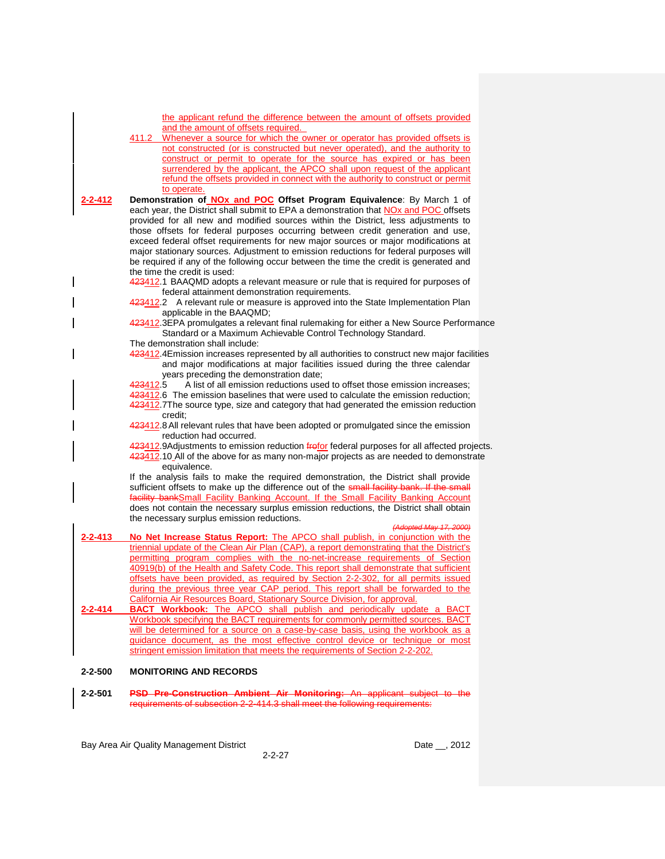| the applicant refund the difference between the amount of offsets provided<br>and the amount of offsets required.                                                            |  |
|------------------------------------------------------------------------------------------------------------------------------------------------------------------------------|--|
| Whenever a source for which the owner or operator has provided offsets is<br>411.2<br>not constructed (or is constructed but never operated), and the authority to           |  |
| construct or permit to operate for the source has expired or has been                                                                                                        |  |
| surrendered by the applicant, the APCO shall upon request of the applicant                                                                                                   |  |
| refund the offsets provided in connect with the authority to construct or permit<br>to operate.                                                                              |  |
| Demonstration of <b>NOx and POC</b> Offset Program Equivalence: By March 1 of<br>2-2-412                                                                                     |  |
| each year, the District shall submit to EPA a demonstration that NOx and POC offsets                                                                                         |  |
| provided for all new and modified sources within the District, less adjustments to                                                                                           |  |
| those offsets for federal purposes occurring between credit generation and use,                                                                                              |  |
| exceed federal offset requirements for new major sources or major modifications at<br>major stationary sources. Adjustment to emission reductions for federal purposes will  |  |
| be required if any of the following occur between the time the credit is generated and                                                                                       |  |
| the time the credit is used:                                                                                                                                                 |  |
| 423412.1 BAAQMD adopts a relevant measure or rule that is required for purposes of<br>federal attainment demonstration requirements.                                         |  |
| 423412.2 A relevant rule or measure is approved into the State Implementation Plan<br>applicable in the BAAQMD;                                                              |  |
| 423412.3EPA promulgates a relevant final rulemaking for either a New Source Performance                                                                                      |  |
| Standard or a Maximum Achievable Control Technology Standard.                                                                                                                |  |
| The demonstration shall include:                                                                                                                                             |  |
| 423412.4 Emission increases represented by all authorities to construct new major facilities<br>and major modifications at major facilities issued during the three calendar |  |
| years preceding the demonstration date;                                                                                                                                      |  |
| A list of all emission reductions used to offset those emission increases;<br><del>423</del> 412.5                                                                           |  |
| 423412.6 The emission baselines that were used to calculate the emission reduction;                                                                                          |  |
| 423412.7The source type, size and category that had generated the emission reduction<br>credit:                                                                              |  |
| 423412.8 All relevant rules that have been adopted or promulgated since the emission<br>reduction had occurred.                                                              |  |
| 423412.9Adjustments to emission reduction frefor federal purposes for all affected projects.                                                                                 |  |
| 423412.10_All of the above for as many non-major projects as are needed to demonstrate<br>equivalence.                                                                       |  |
| If the analysis fails to make the required demonstration, the District shall provide                                                                                         |  |
| sufficient offsets to make up the difference out of the small facility bank. If the small                                                                                    |  |
| facility bankSmall Facility Banking Account. If the Small Facility Banking Account<br>does not contain the necessary surplus emission reductions, the District shall obtain  |  |
| the necessary surplus emission reductions.                                                                                                                                   |  |
| (Adopted May 17, 2000)                                                                                                                                                       |  |
| 2-2-413<br>No Net Increase Status Report: The APCO shall publish, in conjunction with the                                                                                    |  |
| triennial update of the Clean Air Plan (CAP), a report demonstrating that the District's<br>permitting program complies with the no-net-increase requirements of Section     |  |
| 40919(b) of the Health and Safety Code. This report shall demonstrate that sufficient                                                                                        |  |
| offsets have been provided, as required by Section 2-2-302, for all permits issued                                                                                           |  |
| during the previous three year CAP period. This report shall be forwarded to the                                                                                             |  |
| <b>California Air Resources Board, Stationary Source Division, for approval.</b><br><b>BACT Workbook:</b> The APCO shall publish and periodically update a BACT<br>2-2-414   |  |
| Workbook specifying the BACT requirements for commonly permitted sources. BACT                                                                                               |  |
| will be determined for a source on a case-by-case basis, using the workbook as a                                                                                             |  |
| guidance document, as the most effective control device or technique or most                                                                                                 |  |
| stringent emission limitation that meets the requirements of Section 2-2-202.                                                                                                |  |
| $2 - 2 - 500$<br><b>MONITORING AND RECORDS</b>                                                                                                                               |  |

**2-2-501 PSD Pre-Construction Ambient Air Monitoring:** An applicant subject to the requirements of subsection 2-2-414.3 shall meet the following requirements: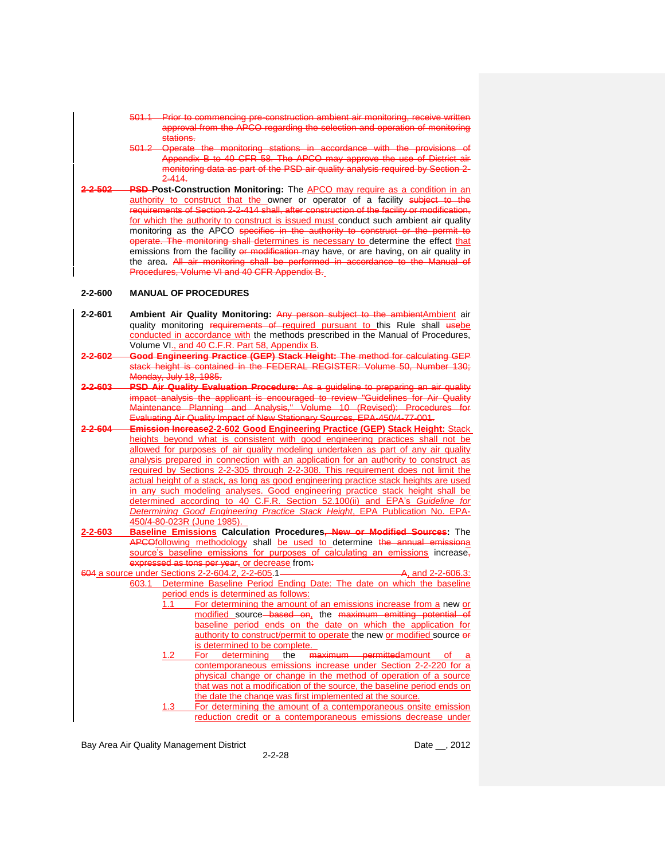- 501.1 Prior to commencing pre-construction ambient air monitoring, receive written approval from the APCO regarding the selection and operation of monitoring stations.
- 501.2 Operate the monitoring stations in accordance with the provisions of Appendix B to 40 CFR 58. The APCO may approve the use of District air monitoring data as part of the PSD air quality analysis required by Section 2- 2-414.
- **2-2-502 PSD Post-Construction Monitoring:** The APCO may require as a condition in an authority to construct that the owner or operator of a facility subject to the requirements of Section 2-2-414 shall, after construction of the facility or modification, for which the authority to construct is issued must conduct such ambient air quality monitoring as the APCO specifies in the authority to construct or the permit to operate. The monitoring shall determines is necessary to determine the effect that emissions from the facility or modification may have, or are having, on air quality in the area. All air monitoring shall be performed in accordance to the Manual of Procedures, Volume VI and 40 CFR Appendix B.

## **2-2-600 MANUAL OF PROCEDURES**

| $2 - 2 - 601$ | Ambient Air Quality Monitoring: Any person subject to the ambient Ambient air         |
|---------------|---------------------------------------------------------------------------------------|
|               | quality monitoring requirements of required pursuant to this Rule shall usebe         |
|               | conducted in accordance with the methods prescribed in the Manual of Procedures,      |
|               | Volume VI., and 40 C.F.R. Part 58, Appendix B.                                        |
| 2-2-602       | Good Engineering Practice (GEP) Stack Height: The method for calculating GEP          |
|               | stack height is contained in the FEDERAL REGISTER: Volume 50, Number 130;             |
|               | Monday, July 18, 1985.                                                                |
| 2-603         | PSD Air Quality Evaluation Procedure: As a quideline to preparing an air quality      |
|               | impact analysis the applicant is encouraged to review "Guidelines for Air Quality     |
|               | Maintenance Planning and Analysis," Volume 10 (Revised): Procedures for               |
|               | Evaluating Air Quality Impact of New Stationary Sources, EPA-450/4-77-001.            |
| -2-604---     | Emission Increase2-2-602 Good Engineering Practice (GEP) Stack Height: Stack          |
|               | heights beyond what is consistent with good engineering practices shall not be        |
|               | allowed for purposes of air quality modeling undertaken as part of any air quality    |
|               | analysis prepared in connection with an application for an authority to construct as  |
|               | required by Sections 2-2-305 through 2-2-308. This requirement does not limit the     |
|               | actual height of a stack, as long as good engineering practice stack heights are used |
|               | in any such modeling analyses. Good engineering practice stack height shall be        |
|               | determined according to 40 C.F.R. Section 52.100(ii) and EPA's Guideline for          |
|               | Determining Good Engineering Practice Stack Height, EPA Publication No. EPA-          |
|               | 450/4-80-023R (June 1985).                                                            |
| 2-2-603       | Baseline Emissions Calculation Procedures, New or Modified Sources: The               |
|               | APCOfollowing methodology shall be used to determine the annual emissional            |
|               | source's baseline emissions for purposes of calculating an emissions increase,        |
|               | expressed as tons per year, or decrease from.                                         |
|               | A, and 2-2-606.3:<br>604 a source under Sections 2-2-604.2, 2-2-605.1———————          |
|               | Determine Baseline Period Ending Date: The date on which the baseline<br>603.1        |
|               | period ends is determined as follows:                                                 |
|               | For determining the amount of an emissions increase from a new or<br>1.1              |
|               | modified source based on, the maximum emitting potential of                           |
|               | baseline period ends on the date on which the application for                         |
|               | authority to construct/permit to operate the new or modified source or                |
|               | is determined to be complete.                                                         |
|               | maximum permittedamount of a<br>For<br>determining<br>the<br>1.2                      |
|               | contemporaneous emissions increase under Section 2-2-220 for a                        |
|               | physical change or change in the method of operation of a source                      |
|               | that was not a modification of the source, the baseline period ends on                |
|               | the date the change was first implemented at the source.                              |
|               | For determining the amount of a contemporaneous onsite emission<br>1.3                |
|               | reduction credit or a contemporaneous emissions decrease under                        |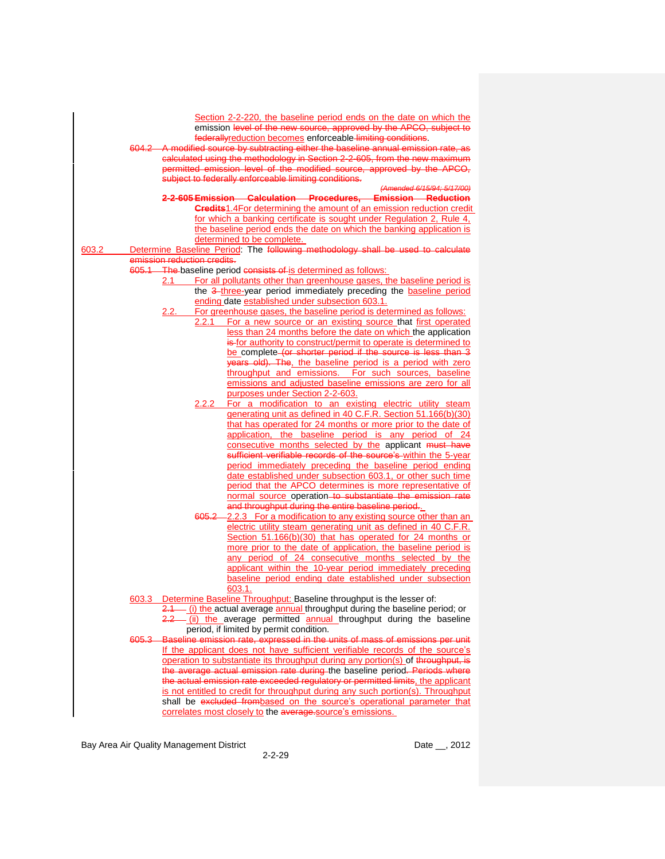|       |                                                                                     | Section 2-2-220, the baseline period ends on the date on which the                                                                      |  |  |
|-------|-------------------------------------------------------------------------------------|-----------------------------------------------------------------------------------------------------------------------------------------|--|--|
|       |                                                                                     | emission level of the new source, approved by the APCO, subject to                                                                      |  |  |
|       | federallyreduction becomes enforceable limiting conditions.                         |                                                                                                                                         |  |  |
|       | 604.2 A modified source by subtracting either the baseline annual emission rate, as |                                                                                                                                         |  |  |
|       |                                                                                     | calculated using the methodology in Section 2-2-605, from the new maximum                                                               |  |  |
|       |                                                                                     | permitted emission level of the modified source, approved by the APCO,                                                                  |  |  |
|       |                                                                                     | subject to federally enforceable limiting conditions.                                                                                   |  |  |
|       |                                                                                     | (Amended 6/15/94; 5/17/00)                                                                                                              |  |  |
|       |                                                                                     | 2-2-605 Emission Calculation Procedures, Emission Reduction                                                                             |  |  |
|       |                                                                                     | <b>Credits</b> 1.4For determining the amount of an emission reduction credit                                                            |  |  |
|       |                                                                                     | for which a banking certificate is sought under Regulation 2, Rule 4,                                                                   |  |  |
|       |                                                                                     | the baseline period ends the date on which the banking application is                                                                   |  |  |
|       |                                                                                     | determined to be complete.                                                                                                              |  |  |
| 603.2 |                                                                                     | Determine Baseline Period: The following methodology shall be used to calculate                                                         |  |  |
|       | emission reduction credits.                                                         |                                                                                                                                         |  |  |
|       |                                                                                     | 605.1 The baseline period consists of is determined as follows:                                                                         |  |  |
|       | 2.1                                                                                 | For all pollutants other than greenhouse gases, the baseline period is                                                                  |  |  |
|       |                                                                                     | the 3-three-year period immediately preceding the baseline period                                                                       |  |  |
|       |                                                                                     | ending date established under subsection 603.1.                                                                                         |  |  |
|       | 2.2.                                                                                | For greenhouse gases, the baseline period is determined as follows:                                                                     |  |  |
|       |                                                                                     | 2.2.1 For a new source or an existing source that first operated<br>less than 24 months before the date on which the application        |  |  |
|       |                                                                                     | is for authority to construct/permit to operate is determined to                                                                        |  |  |
|       |                                                                                     | be complete (or shorter period if the source is less than 3                                                                             |  |  |
|       |                                                                                     | years old). The, the baseline period is a period with zero                                                                              |  |  |
|       |                                                                                     | throughput and emissions. For such sources, baseline                                                                                    |  |  |
|       |                                                                                     | emissions and adjusted baseline emissions are zero for all                                                                              |  |  |
|       |                                                                                     | purposes under Section 2-2-603.                                                                                                         |  |  |
|       | 2.2.2                                                                               | For a modification to an existing electric utility steam                                                                                |  |  |
|       |                                                                                     | generating unit as defined in 40 C.F.R. Section 51.166(b)(30)                                                                           |  |  |
|       |                                                                                     | that has operated for 24 months or more prior to the date of                                                                            |  |  |
|       |                                                                                     | application, the baseline period is any period of 24                                                                                    |  |  |
|       |                                                                                     | consecutive months selected by the applicant must have                                                                                  |  |  |
|       |                                                                                     | sufficient verifiable records of the source's within the 5-year                                                                         |  |  |
|       |                                                                                     | period immediately preceding the baseline period ending                                                                                 |  |  |
|       |                                                                                     | date established under subsection 603.1, or other such time                                                                             |  |  |
|       |                                                                                     | period that the APCO determines is more representative of                                                                               |  |  |
|       |                                                                                     | normal source operation to substantiate the emission rate                                                                               |  |  |
|       |                                                                                     | and throughput during the entire baseline period.                                                                                       |  |  |
|       |                                                                                     | 605.2 – 2.2.3 For a modification to any existing source other than an<br>electric utility steam generating unit as defined in 40 C.F.R. |  |  |
|       |                                                                                     | Section 51.166(b)(30) that has operated for 24 months or                                                                                |  |  |
|       |                                                                                     | more prior to the date of application, the baseline period is                                                                           |  |  |
|       |                                                                                     | any period of 24 consecutive months selected by the                                                                                     |  |  |
|       |                                                                                     | applicant within the 10-year period immediately preceding                                                                               |  |  |
|       |                                                                                     | baseline period ending date established under subsection                                                                                |  |  |
|       |                                                                                     | 603.1.                                                                                                                                  |  |  |
|       |                                                                                     | 603.3 Determine Baseline Throughput: Baseline throughput is the lesser of:                                                              |  |  |
|       |                                                                                     | $\frac{2.1}{1}$ (i) the actual average annual throughput during the baseline period; or                                                 |  |  |
|       |                                                                                     | 2.2 (ii) the average permitted annual throughput during the baseline                                                                    |  |  |
|       |                                                                                     | period, if limited by permit condition.                                                                                                 |  |  |
|       |                                                                                     | 605.3 Baseline emission rate, expressed in the units of mass of emissions per unit                                                      |  |  |
|       |                                                                                     | If the applicant does not have sufficient verifiable records of the source's                                                            |  |  |
|       |                                                                                     | operation to substantiate its throughput during any portion(s) of throughput, is                                                        |  |  |
|       |                                                                                     | the average actual emission rate during the baseline period. Periods where                                                              |  |  |
|       |                                                                                     | the actual emission rate exceeded regulatory or permitted limits, the applicant                                                         |  |  |
|       |                                                                                     | is not entitled to credit for throughput during any such portion(s). Throughput                                                         |  |  |
|       |                                                                                     | shall be excluded frombased on the source's operational parameter that                                                                  |  |  |
|       |                                                                                     | correlates most closely to the average source's emissions.                                                                              |  |  |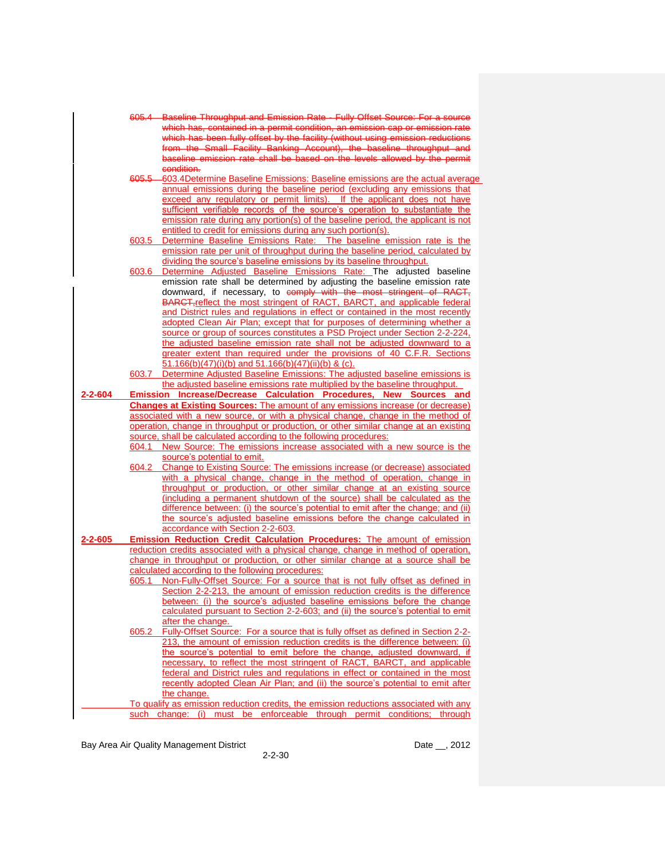|         |       | 605.4 Baseline Throughput and Emission Rate - Fully Offset Source: For a source                                                                             |
|---------|-------|-------------------------------------------------------------------------------------------------------------------------------------------------------------|
|         |       | which has, contained in a permit condition, an emission cap or emission rate                                                                                |
|         |       | which has been fully offset by the facility (without using emission reductions                                                                              |
|         |       | from the Small Facility Banking Account), the baseline throughput and                                                                                       |
|         |       | baseline emission rate shall be based on the levels allowed by the permit                                                                                   |
|         |       |                                                                                                                                                             |
|         |       | condition.                                                                                                                                                  |
|         | 605.5 | -603.4Determine Baseline Emissions: Baseline emissions are the actual average                                                                               |
|         |       | annual emissions during the baseline period (excluding any emissions that                                                                                   |
|         |       | exceed any regulatory or permit limits). If the applicant does not have                                                                                     |
|         |       | sufficient verifiable records of the source's operation to substantiate the                                                                                 |
|         |       | emission rate during any portion(s) of the baseline period, the applicant is not                                                                            |
|         |       | entitled to credit for emissions during any such portion(s).                                                                                                |
|         | 603.5 | Determine Baseline Emissions Rate: The baseline emission rate is the                                                                                        |
|         |       | emission rate per unit of throughput during the baseline period, calculated by                                                                              |
|         |       |                                                                                                                                                             |
|         |       | dividing the source's baseline emissions by its baseline throughput.                                                                                        |
|         | 603.6 | Determine Adjusted Baseline Emissions Rate: The adjusted baseline                                                                                           |
|         |       | emission rate shall be determined by adjusting the baseline emission rate                                                                                   |
|         |       | downward, if necessary, to comply with the most stringent of RACT,                                                                                          |
|         |       | BARCT, reflect the most stringent of RACT, BARCT, and applicable federal                                                                                    |
|         |       | and District rules and regulations in effect or contained in the most recently                                                                              |
|         |       | adopted Clean Air Plan; except that for purposes of determining whether a                                                                                   |
|         |       |                                                                                                                                                             |
|         |       | source or group of sources constitutes a PSD Project under Section 2-2-224,                                                                                 |
|         |       | the adjusted baseline emission rate shall not be adjusted downward to a                                                                                     |
|         |       | greater extent than required under the provisions of 40 C.F.R. Sections                                                                                     |
|         |       | $\underline{51.166(b)(47)(i)(b)}$ and $\underline{51.166(b)(47)(ii)(b)}$ & (c).                                                                             |
|         | 603.7 | Determine Adjusted Baseline Emissions: The adjusted baseline emissions is                                                                                   |
|         |       | the adjusted baseline emissions rate multiplied by the baseline throughput.                                                                                 |
| 2-2-604 |       | Emission Increase/Decrease Calculation Procedures, New Sources and                                                                                          |
|         |       | <b>Changes at Existing Sources:</b> The amount of any emissions increase (or decrease)                                                                      |
|         |       |                                                                                                                                                             |
|         |       |                                                                                                                                                             |
|         |       | associated with a new source, or with a physical change, change in the method of                                                                            |
|         |       | operation, change in throughput or production, or other similar change at an existing                                                                       |
|         |       | source, shall be calculated according to the following procedures:                                                                                          |
|         | 604.1 | New Source: The emissions increase associated with a new source is the                                                                                      |
|         |       | source's potential to emit.                                                                                                                                 |
|         | 604.2 | Change to Existing Source: The emissions increase (or decrease) associated                                                                                  |
|         |       |                                                                                                                                                             |
|         |       | with a physical change, change in the method of operation, change in                                                                                        |
|         |       | throughput or production, or other similar change at an existing source                                                                                     |
|         |       | (including a permanent shutdown of the source) shall be calculated as the                                                                                   |
|         |       | difference between: (i) the source's potential to emit after the change; and (ii)                                                                           |
|         |       | the source's adjusted baseline emissions before the change calculated in                                                                                    |
|         |       | accordance with Section 2-2-603.                                                                                                                            |
| 2-2-605 |       | Emission Reduction Credit Calculation Procedures: The amount of emission                                                                                    |
|         |       | reduction credits associated with a physical change, change in method of operation,                                                                         |
|         |       | change in throughput or production, or other similar change at a source shall be                                                                            |
|         |       | calculated according to the following procedures:                                                                                                           |
|         | 605.1 |                                                                                                                                                             |
|         |       | Non-Fully-Offset Source: For a source that is not fully offset as defined in                                                                                |
|         |       | Section 2-2-213, the amount of emission reduction credits is the difference                                                                                 |
|         |       | between: (i) the source's adjusted baseline emissions before the change                                                                                     |
|         |       | calculated pursuant to Section 2-2-603; and (ii) the source's potential to emit                                                                             |
|         |       | after the change.                                                                                                                                           |
|         | 605.2 | Fully-Offset Source: For a source that is fully offset as defined in Section 2-2-                                                                           |
|         |       | 213, the amount of emission reduction credits is the difference between: (i)                                                                                |
|         |       | the source's potential to emit before the change, adjusted downward, if                                                                                     |
|         |       | necessary, to reflect the most stringent of RACT, BARCT, and applicable                                                                                     |
|         |       |                                                                                                                                                             |
|         |       | federal and District rules and regulations in effect or contained in the most                                                                               |
|         |       | recently adopted Clean Air Plan; and (ii) the source's potential to emit after                                                                              |
|         |       | the change.                                                                                                                                                 |
|         | such  | To qualify as emission reduction credits, the emission reductions associated with any<br>change: (i) must be enforceable through permit conditions; through |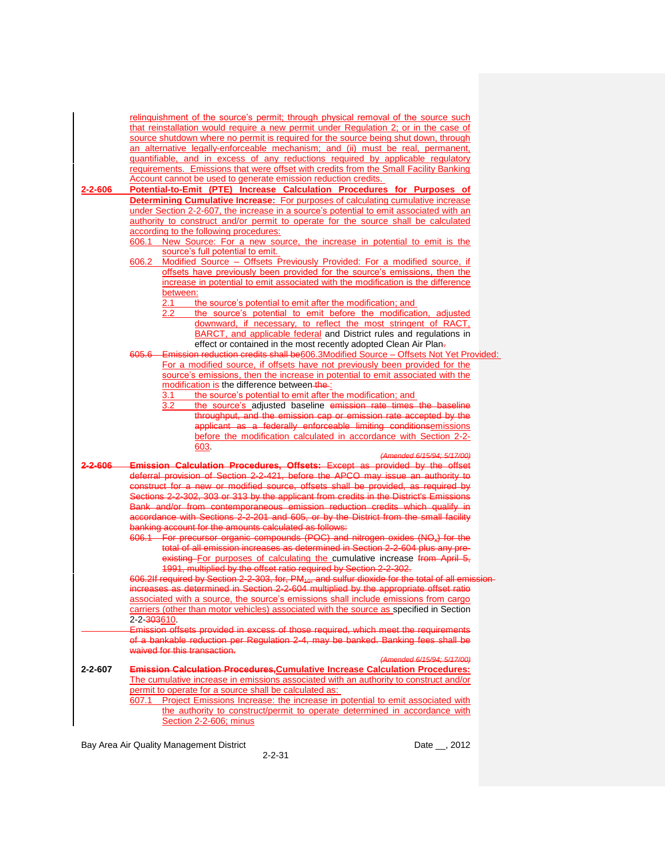| 2-2-606            | relinguishment of the source's permit; through physical removal of the source such<br>that reinstallation would require a new permit under Regulation 2; or in the case of<br>source shutdown where no permit is required for the source being shut down, through<br>an alternative legally-enforceable mechanism; and (ii) must be real, permanent,<br>quantifiable, and in excess of any reductions required by applicable regulatory<br>requirements. Emissions that were offset with credits from the Small Facility Banking<br>Account cannot be used to generate emission reduction credits.<br>Potential-to-Emit (PTE) Increase Calculation Procedures for Purposes of<br><b>Determining Cumulative Increase:</b> For purposes of calculating cumulative increase<br>under Section 2-2-607, the increase in a source's potential to emit associated with an<br>authority to construct and/or permit to operate for the source shall be calculated<br>according to the following procedures:<br>New Source: For a new source, the increase in potential to emit is the<br>606.1<br>source's full potential to emit.<br>Modified Source - Offsets Previously Provided: For a modified source, if<br>606.2<br>offsets have previously been provided for the source's emissions, then the                                                        |  |
|--------------------|-----------------------------------------------------------------------------------------------------------------------------------------------------------------------------------------------------------------------------------------------------------------------------------------------------------------------------------------------------------------------------------------------------------------------------------------------------------------------------------------------------------------------------------------------------------------------------------------------------------------------------------------------------------------------------------------------------------------------------------------------------------------------------------------------------------------------------------------------------------------------------------------------------------------------------------------------------------------------------------------------------------------------------------------------------------------------------------------------------------------------------------------------------------------------------------------------------------------------------------------------------------------------------------------------------------------------------------------------------|--|
|                    | increase in potential to emit associated with the modification is the difference<br>between:<br>2.1<br>the source's potential to emit after the modification; and<br>the source's potential to emit before the modification, adjusted<br>$2.2\,$<br>downward, if necessary, to reflect the most stringent of RACT,<br>BARCT, and applicable federal and District rules and regulations in<br>effect or contained in the most recently adopted Clean Air Plan-<br>605.6 Emission reduction credits shall be606.3Modified Source - Offsets Not Yet Provided:                                                                                                                                                                                                                                                                                                                                                                                                                                                                                                                                                                                                                                                                                                                                                                                          |  |
|                    | For a modified source, if offsets have not previously been provided for the<br>source's emissions, then the increase in potential to emit associated with the<br>modification is the difference between-the-<br>the source's potential to emit after the modification; and<br>3.1<br>the source's adjusted baseline emission rate times the baseline<br>3.2<br>throughput, and the emission cap or emission rate accepted by the<br>applicant as a federally enforceable limiting conditionsemissions<br>before the modification calculated in accordance with Section 2-2-<br>603.                                                                                                                                                                                                                                                                                                                                                                                                                                                                                                                                                                                                                                                                                                                                                                 |  |
| <del>2-2-606</del> | (Amended 6/15/94; 5/17/00)<br>Emission Calculation Procedures, Offsets: Except as provided by the offset<br>deferral provision of Section 2-2-421, before the APCO may issue an authority to<br>construct for a new or modified source, offsets shall be provided, as required by<br>Sections 2-2-302, 303 or 313 by the applicant from credits in the District's Emissions<br>Bank and/or from contemporaneous emission reduction credits which qualify in<br>accordance with Sections 2-2-201 and 605, or by the District from the small facility<br>banking account for the amounts calculated as follows:<br>606.1 For precursor organic compounds (POC) and nitrogen oxides (NO <sub>x</sub> ) for the<br>total of all emission increases as determined in Section 2-2-604 plus any pre-<br>existing For purposes of calculating the cumulative increase from April 5,<br>1991, multiplied by the offset ratio required by Section 2-2-302.<br>606.2If required by Section 2-2-303, for, PM <sub>10</sub> , and sulfur dioxide for the total of all emission<br>increases as determined in Section 2-2-604 multiplied by the appropriate offset ratio<br><u>associated with a source, the source's emissions shall include emissions from cargo</u><br>carriers (other than motor vehicles) associated with the source as specified in Section |  |
| $2 - 2 - 607$      | 2-2- <del>303</del> 610.<br>Emission offsets provided in excess of those required, which meet the requirements<br>of a bankable reduction per Regulation 2-4, may be banked. Banking fees shall be<br>waived for this transaction.<br>(Amended 6/15/94; 5/17/00)<br><b>Emission Calculation Procedures, Cumulative Increase Calculation Procedures:</b><br>The cumulative increase in emissions associated with an authority to construct and/or<br>permit to operate for a source shall be calculated as:<br>607.1 Project Emissions Increase: the increase in potential to emit associated with<br>the authority to construct/permit to operate determined in accordance with<br>Section 2-2-606; minus                                                                                                                                                                                                                                                                                                                                                                                                                                                                                                                                                                                                                                           |  |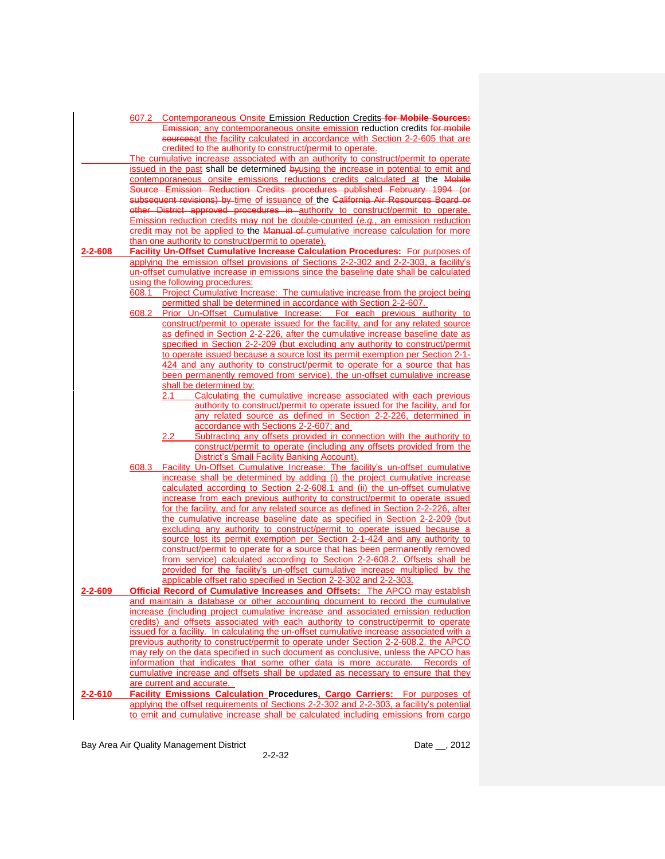|               | 607.2 Contemporaneous Onsite Emission Reduction Credits-for Mobile Sources:                                                                             |
|---------------|---------------------------------------------------------------------------------------------------------------------------------------------------------|
|               | Emission: any contemporaneous onsite emission reduction credits for mobile                                                                              |
|               | sourcesat the facility calculated in accordance with Section 2-2-605 that are                                                                           |
|               | credited to the authority to construct/permit to operate.                                                                                               |
|               | The cumulative increase associated with an authority to construct/permit to operate                                                                     |
|               | issued in the past shall be determined by using the increase in potential to emit and                                                                   |
|               | contemporaneous onsite emissions reductions credits calculated at the Mobile                                                                            |
|               | Source Emission Reduction Credits procedures published February 1994 (or                                                                                |
|               | subsequent revisions) by time of issuance of the California Air Resources Board or                                                                      |
|               | other District approved procedures in authority to construct/permit to operate.                                                                         |
|               | Emission reduction credits may not be double-counted (e.g., an emission reduction                                                                       |
|               | credit may not be applied to the Manual of cumulative increase calculation for more                                                                     |
|               | than one authority to construct/permit to operate).                                                                                                     |
| $2 - 2 - 608$ | Facility Un-Offset Cumulative Increase Calculation Procedures: For purposes of                                                                          |
|               | applying the emission offset provisions of Sections 2-2-302 and 2-2-303, a facility's                                                                   |
|               | un-offset cumulative increase in emissions since the baseline date shall be calculated                                                                  |
|               | using the following procedures:                                                                                                                         |
|               | 608.1 Project Cumulative Increase: The cumulative increase from the project being                                                                       |
|               | permitted shall be determined in accordance with Section 2-2-607.                                                                                       |
|               | Prior Un-Offset Cumulative Increase: For each previous authority to<br>608.2                                                                            |
|               | construct/permit to operate issued for the facility, and for any related source                                                                         |
|               | as defined in Section 2-2-226, after the cumulative increase baseline date as                                                                           |
|               | specified in Section 2-2-209 (but excluding any authority to construct/permit                                                                           |
|               | to operate issued because a source lost its permit exemption per Section 2-1-                                                                           |
|               | 424 and any authority to construct/permit to operate for a source that has<br>been permanently removed from service), the un-offset cumulative increase |
|               | shall be determined by:                                                                                                                                 |
|               | Calculating the cumulative increase associated with each previous<br>2.1                                                                                |
|               | authority to construct/permit to operate issued for the facility, and for                                                                               |
|               | any related source as defined in Section 2-2-226, determined in                                                                                         |
|               | accordance with Sections 2-2-607; and                                                                                                                   |
|               | Subtracting any offsets provided in connection with the authority to<br>2.2                                                                             |
|               | construct/permit to operate (including any offsets provided from the                                                                                    |
|               | District's Small Facility Banking Account).                                                                                                             |
|               | Facility Un-Offset Cumulative Increase: The facility's un-offset cumulative<br>608.3                                                                    |
|               | increase shall be determined by adding (i) the project cumulative increase                                                                              |
|               | calculated according to Section 2-2-608.1 and (ii) the un-offset cumulative                                                                             |
|               | increase from each previous authority to construct/permit to operate issued                                                                             |
|               | for the facility, and for any related source as defined in Section 2-2-226, after                                                                       |
|               | the cumulative increase baseline date as specified in Section 2-2-209 (but                                                                              |
|               | excluding any authority to construct/permit to operate issued because a                                                                                 |
|               | source lost its permit exemption per Section 2-1-424 and any authority to                                                                               |
|               | construct/permit to operate for a source that has been permanently removed                                                                              |
|               | from service) calculated according to Section 2-2-608.2. Offsets shall be                                                                               |
|               | provided for the facility's un-offset cumulative increase multiplied by the                                                                             |
|               | applicable offset ratio specified in Section 2-2-302 and 2-2-303.                                                                                       |
| $2 - 2 - 609$ | Official Record of Cumulative Increases and Offsets: The APCO may establish                                                                             |
|               | <u>and maintain a database or other accounting document to record the cumulative</u>                                                                    |
|               | increase (including project cumulative increase and associated emission reduction                                                                       |
|               | credits) and offsets associated with each authority to construct/permit to operate                                                                      |
|               | issued for a facility. In calculating the un-offset cumulative increase associated with a                                                               |
|               | previous authority to construct/permit to operate under Section 2-2-608.2, the APCO                                                                     |
|               | may rely on the data specified in such document as conclusive, unless the APCO has                                                                      |
|               | information that indicates that some other data is more accurate. Records of                                                                            |
|               | cumulative increase and offsets shall be updated as necessary to ensure that they                                                                       |
|               | are current and accurate.                                                                                                                               |
| $2 - 2 - 610$ | <b>Facility Emissions Calculation Procedures, Cargo Carriers:</b> For purposes of                                                                       |
|               | applying the offset requirements of Sections 2-2-302 and 2-2-303, a facility's potential                                                                |
|               | to emit and cumulative increase shall be calculated including emissions from cargo                                                                      |